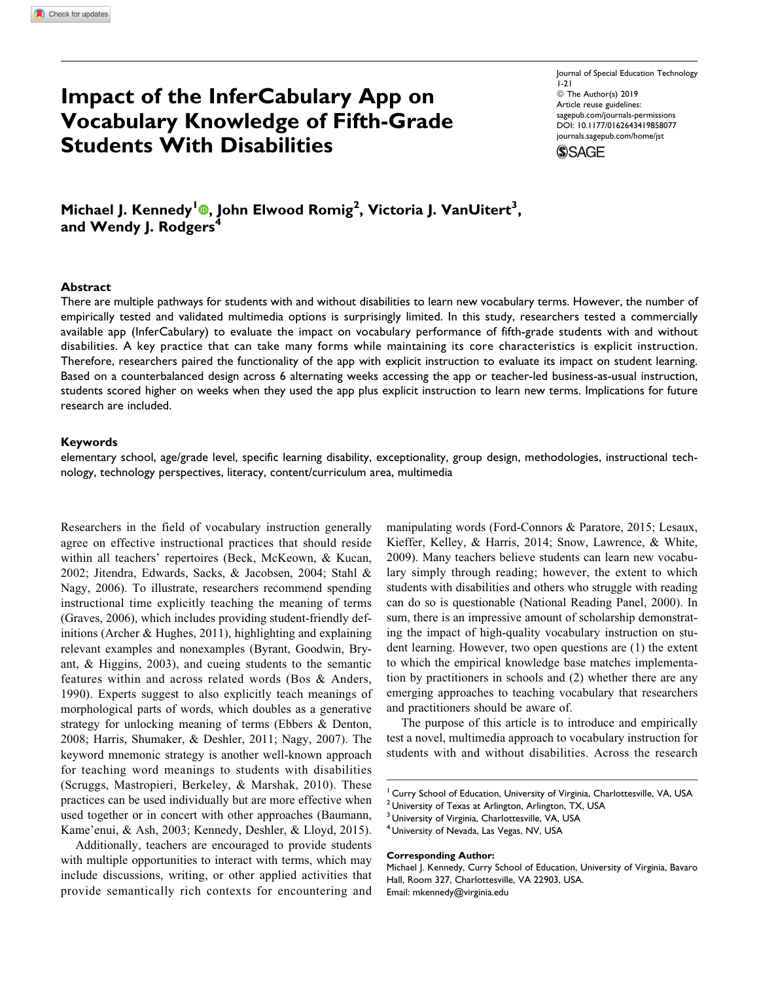# Impact of the InferCabulary App on Vocabulary Knowledge of Fifth-Grade Students With Disabilities

Journal of Special Education Technology 1-21 © The Author(s) 2019 Article reuse guidelines: [sagepub.com/journals-permissions](https://sagepub.com/journals-permissions) [DOI: 10.1177/0162643419858077](https://doi.org/10.1177/0162643419858077) [journals.sagepub.com/home/jst](http://journals.sagepub.com/home/jst)



Michael J. Kennedy<sup>l</sup>®, John Elwood Romig<sup>2</sup>, Victoria J. VanUitert<sup>3</sup>, and Wendy J. Rodgers<sup>4</sup>

#### Abstract

There are multiple pathways for students with and without disabilities to learn new vocabulary terms. However, the number of empirically tested and validated multimedia options is surprisingly limited. In this study, researchers tested a commercially available app (InferCabulary) to evaluate the impact on vocabulary performance of fifth-grade students with and without disabilities. A key practice that can take many forms while maintaining its core characteristics is explicit instruction. Therefore, researchers paired the functionality of the app with explicit instruction to evaluate its impact on student learning. Based on a counterbalanced design across 6 alternating weeks accessing the app or teacher-led business-as-usual instruction, students scored higher on weeks when they used the app plus explicit instruction to learn new terms. Implications for future research are included.

#### Keywords

elementary school, age/grade level, specific learning disability, exceptionality, group design, methodologies, instructional technology, technology perspectives, literacy, content/curriculum area, multimedia

Researchers in the field of vocabulary instruction generally agree on effective instructional practices that should reside within all teachers' repertoires (Beck, McKeown, & Kucan, 2002; Jitendra, Edwards, Sacks, & Jacobsen, 2004; Stahl & Nagy, 2006). To illustrate, researchers recommend spending instructional time explicitly teaching the meaning of terms (Graves, 2006), which includes providing student-friendly definitions (Archer & Hughes, 2011), highlighting and explaining relevant examples and nonexamples (Byrant, Goodwin, Bryant, & Higgins, 2003), and cueing students to the semantic features within and across related words (Bos & Anders, 1990). Experts suggest to also explicitly teach meanings of morphological parts of words, which doubles as a generative strategy for unlocking meaning of terms (Ebbers & Denton, 2008; Harris, Shumaker, & Deshler, 2011; Nagy, 2007). The keyword mnemonic strategy is another well-known approach for teaching word meanings to students with disabilities (Scruggs, Mastropieri, Berkeley, & Marshak, 2010). These practices can be used individually but are more effective when used together or in concert with other approaches (Baumann, Kame'enui, & Ash, 2003; Kennedy, Deshler, & Lloyd, 2015).

Additionally, teachers are encouraged to provide students with multiple opportunities to interact with terms, which may include discussions, writing, or other applied activities that provide semantically rich contexts for encountering and manipulating words (Ford-Connors & Paratore, 2015; Lesaux, Kieffer, Kelley, & Harris, 2014; Snow, Lawrence, & White, 2009). Many teachers believe students can learn new vocabulary simply through reading; however, the extent to which students with disabilities and others who struggle with reading can do so is questionable (National Reading Panel, 2000). In sum, there is an impressive amount of scholarship demonstrating the impact of high-quality vocabulary instruction on student learning. However, two open questions are (1) the extent to which the empirical knowledge base matches implementation by practitioners in schools and (2) whether there are any emerging approaches to teaching vocabulary that researchers and practitioners should be aware of.

The purpose of this article is to introduce and empirically test a novel, multimedia approach to vocabulary instruction for students with and without disabilities. Across the research

#### Corresponding Author:

<sup>&</sup>lt;sup>1</sup> Curry School of Education, University of Virginia, Charlottesville, VA, USA

 $2$  University of Texas at Arlington, Arlington, TX, USA

<sup>&</sup>lt;sup>3</sup> University of Virginia, Charlottesville, VA, USA

<sup>&</sup>lt;sup>4</sup> University of Nevada, Las Vegas, NV, USA

Michael J. Kennedy, Curry School of Education, University of Virginia, Bavaro Hall, Room 327, Charlottesville, VA 22903, USA. Email: [mkennedy@virginia.edu](mailto:mkennedy@virginia.edu)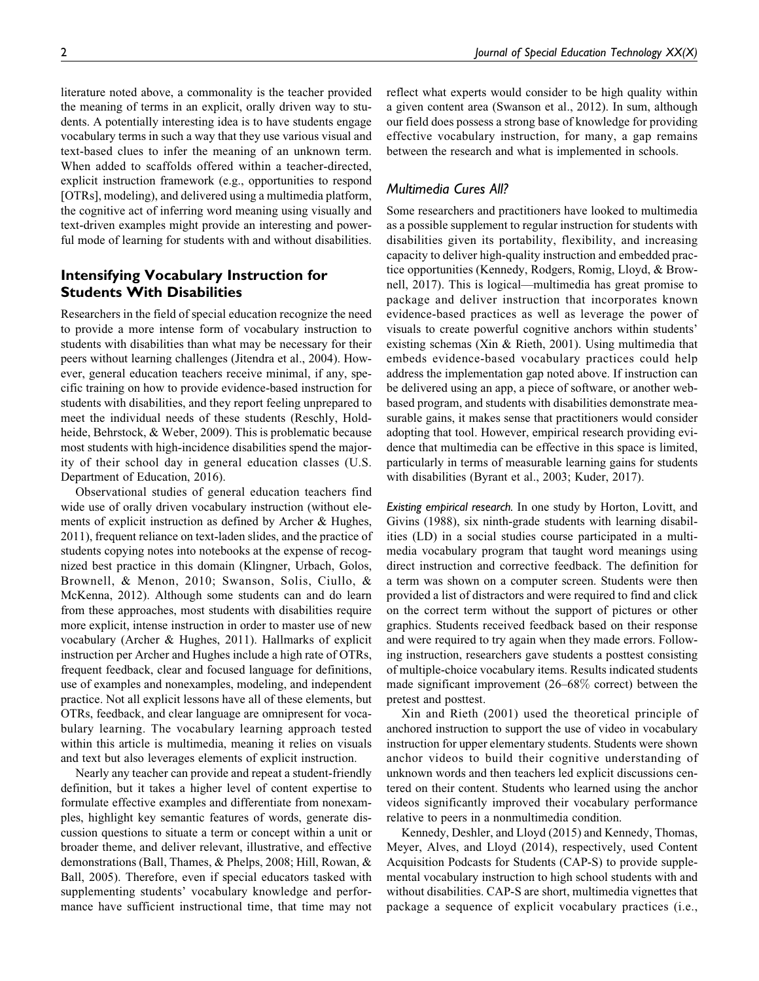literature noted above, a commonality is the teacher provided the meaning of terms in an explicit, orally driven way to students. A potentially interesting idea is to have students engage vocabulary terms in such a way that they use various visual and text-based clues to infer the meaning of an unknown term. When added to scaffolds offered within a teacher-directed, explicit instruction framework (e.g., opportunities to respond [OTRs], modeling), and delivered using a multimedia platform, the cognitive act of inferring word meaning using visually and text-driven examples might provide an interesting and powerful mode of learning for students with and without disabilities.

# Intensifying Vocabulary Instruction for Students With Disabilities

Researchers in the field of special education recognize the need to provide a more intense form of vocabulary instruction to students with disabilities than what may be necessary for their peers without learning challenges (Jitendra et al., 2004). However, general education teachers receive minimal, if any, specific training on how to provide evidence-based instruction for students with disabilities, and they report feeling unprepared to meet the individual needs of these students (Reschly, Holdheide, Behrstock, & Weber, 2009). This is problematic because most students with high-incidence disabilities spend the majority of their school day in general education classes (U.S. Department of Education, 2016).

Observational studies of general education teachers find wide use of orally driven vocabulary instruction (without elements of explicit instruction as defined by Archer & Hughes, 2011), frequent reliance on text-laden slides, and the practice of students copying notes into notebooks at the expense of recognized best practice in this domain (Klingner, Urbach, Golos, Brownell, & Menon, 2010; Swanson, Solis, Ciullo, & McKenna, 2012). Although some students can and do learn from these approaches, most students with disabilities require more explicit, intense instruction in order to master use of new vocabulary (Archer & Hughes, 2011). Hallmarks of explicit instruction per Archer and Hughes include a high rate of OTRs, frequent feedback, clear and focused language for definitions, use of examples and nonexamples, modeling, and independent practice. Not all explicit lessons have all of these elements, but OTRs, feedback, and clear language are omnipresent for vocabulary learning. The vocabulary learning approach tested within this article is multimedia, meaning it relies on visuals and text but also leverages elements of explicit instruction.

Nearly any teacher can provide and repeat a student-friendly definition, but it takes a higher level of content expertise to formulate effective examples and differentiate from nonexamples, highlight key semantic features of words, generate discussion questions to situate a term or concept within a unit or broader theme, and deliver relevant, illustrative, and effective demonstrations (Ball, Thames, & Phelps, 2008; Hill, Rowan, & Ball, 2005). Therefore, even if special educators tasked with supplementing students' vocabulary knowledge and performance have sufficient instructional time, that time may not reflect what experts would consider to be high quality within a given content area (Swanson et al., 2012). In sum, although our field does possess a strong base of knowledge for providing effective vocabulary instruction, for many, a gap remains between the research and what is implemented in schools.

## Multimedia Cures All?

Some researchers and practitioners have looked to multimedia as a possible supplement to regular instruction for students with disabilities given its portability, flexibility, and increasing capacity to deliver high-quality instruction and embedded practice opportunities (Kennedy, Rodgers, Romig, Lloyd, & Brownell, 2017). This is logical—multimedia has great promise to package and deliver instruction that incorporates known evidence-based practices as well as leverage the power of visuals to create powerful cognitive anchors within students' existing schemas (Xin & Rieth, 2001). Using multimedia that embeds evidence-based vocabulary practices could help address the implementation gap noted above. If instruction can be delivered using an app, a piece of software, or another webbased program, and students with disabilities demonstrate measurable gains, it makes sense that practitioners would consider adopting that tool. However, empirical research providing evidence that multimedia can be effective in this space is limited, particularly in terms of measurable learning gains for students with disabilities (Byrant et al., 2003; Kuder, 2017).

Existing empirical research. In one study by Horton, Lovitt, and Givins (1988), six ninth-grade students with learning disabilities (LD) in a social studies course participated in a multimedia vocabulary program that taught word meanings using direct instruction and corrective feedback. The definition for a term was shown on a computer screen. Students were then provided a list of distractors and were required to find and click on the correct term without the support of pictures or other graphics. Students received feedback based on their response and were required to try again when they made errors. Following instruction, researchers gave students a posttest consisting of multiple-choice vocabulary items. Results indicated students made significant improvement (26–68% correct) between the pretest and posttest.

Xin and Rieth (2001) used the theoretical principle of anchored instruction to support the use of video in vocabulary instruction for upper elementary students. Students were shown anchor videos to build their cognitive understanding of unknown words and then teachers led explicit discussions centered on their content. Students who learned using the anchor videos significantly improved their vocabulary performance relative to peers in a nonmultimedia condition.

Kennedy, Deshler, and Lloyd (2015) and Kennedy, Thomas, Meyer, Alves, and Lloyd (2014), respectively, used Content Acquisition Podcasts for Students (CAP-S) to provide supplemental vocabulary instruction to high school students with and without disabilities. CAP-S are short, multimedia vignettes that package a sequence of explicit vocabulary practices (i.e.,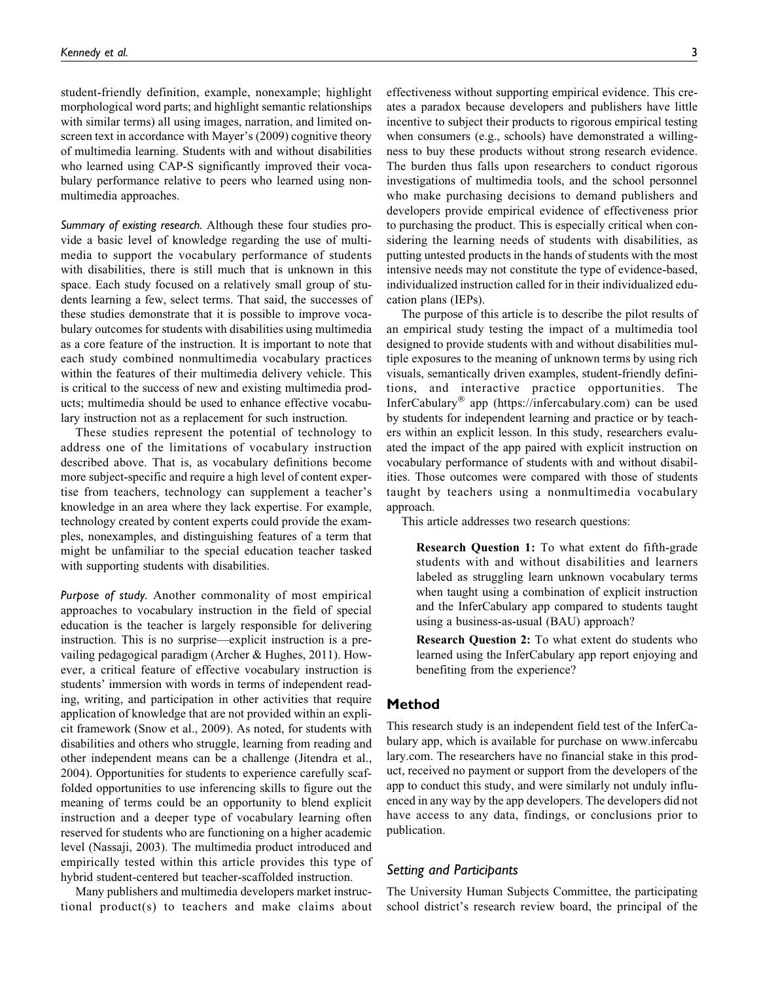student-friendly definition, example, nonexample; highlight morphological word parts; and highlight semantic relationships with similar terms) all using images, narration, and limited onscreen text in accordance with Mayer's (2009) cognitive theory of multimedia learning. Students with and without disabilities who learned using CAP-S significantly improved their vocabulary performance relative to peers who learned using nonmultimedia approaches.

Summary of existing research. Although these four studies provide a basic level of knowledge regarding the use of multimedia to support the vocabulary performance of students with disabilities, there is still much that is unknown in this space. Each study focused on a relatively small group of students learning a few, select terms. That said, the successes of these studies demonstrate that it is possible to improve vocabulary outcomes for students with disabilities using multimedia as a core feature of the instruction. It is important to note that each study combined nonmultimedia vocabulary practices within the features of their multimedia delivery vehicle. This is critical to the success of new and existing multimedia products; multimedia should be used to enhance effective vocabulary instruction not as a replacement for such instruction.

These studies represent the potential of technology to address one of the limitations of vocabulary instruction described above. That is, as vocabulary definitions become more subject-specific and require a high level of content expertise from teachers, technology can supplement a teacher's knowledge in an area where they lack expertise. For example, technology created by content experts could provide the examples, nonexamples, and distinguishing features of a term that might be unfamiliar to the special education teacher tasked with supporting students with disabilities.

Purpose of study. Another commonality of most empirical approaches to vocabulary instruction in the field of special education is the teacher is largely responsible for delivering instruction. This is no surprise—explicit instruction is a prevailing pedagogical paradigm (Archer & Hughes, 2011). However, a critical feature of effective vocabulary instruction is students' immersion with words in terms of independent reading, writing, and participation in other activities that require application of knowledge that are not provided within an explicit framework (Snow et al., 2009). As noted, for students with disabilities and others who struggle, learning from reading and other independent means can be a challenge (Jitendra et al., 2004). Opportunities for students to experience carefully scaffolded opportunities to use inferencing skills to figure out the meaning of terms could be an opportunity to blend explicit instruction and a deeper type of vocabulary learning often reserved for students who are functioning on a higher academic level (Nassaji, 2003). The multimedia product introduced and empirically tested within this article provides this type of hybrid student-centered but teacher-scaffolded instruction.

Many publishers and multimedia developers market instructional product(s) to teachers and make claims about effectiveness without supporting empirical evidence. This creates a paradox because developers and publishers have little incentive to subject their products to rigorous empirical testing when consumers (e.g., schools) have demonstrated a willingness to buy these products without strong research evidence. The burden thus falls upon researchers to conduct rigorous investigations of multimedia tools, and the school personnel who make purchasing decisions to demand publishers and developers provide empirical evidence of effectiveness prior to purchasing the product. This is especially critical when considering the learning needs of students with disabilities, as putting untested products in the hands of students with the most intensive needs may not constitute the type of evidence-based, individualized instruction called for in their individualized education plans (IEPs).

The purpose of this article is to describe the pilot results of an empirical study testing the impact of a multimedia tool designed to provide students with and without disabilities multiple exposures to the meaning of unknown terms by using rich visuals, semantically driven examples, student-friendly definitions, and interactive practice opportunities. The InferCabulary® app ([https://infercabulary.com\)](https://infercabulary.com) can be used by students for independent learning and practice or by teachers within an explicit lesson. In this study, researchers evaluated the impact of the app paired with explicit instruction on vocabulary performance of students with and without disabilities. Those outcomes were compared with those of students taught by teachers using a nonmultimedia vocabulary approach.

This article addresses two research questions:

Research Question 1: To what extent do fifth-grade students with and without disabilities and learners labeled as struggling learn unknown vocabulary terms when taught using a combination of explicit instruction and the InferCabulary app compared to students taught using a business-as-usual (BAU) approach?

Research Question 2: To what extent do students who learned using the InferCabulary app report enjoying and benefiting from the experience?

## Method

This research study is an independent field test of the InferCabulary app, which is available for purchase on [www.infercabu](http://www.infercabulary.com) [lary.com](http://www.infercabulary.com). The researchers have no financial stake in this product, received no payment or support from the developers of the app to conduct this study, and were similarly not unduly influenced in any way by the app developers. The developers did not have access to any data, findings, or conclusions prior to publication.

## Setting and Participants

The University Human Subjects Committee, the participating school district's research review board, the principal of the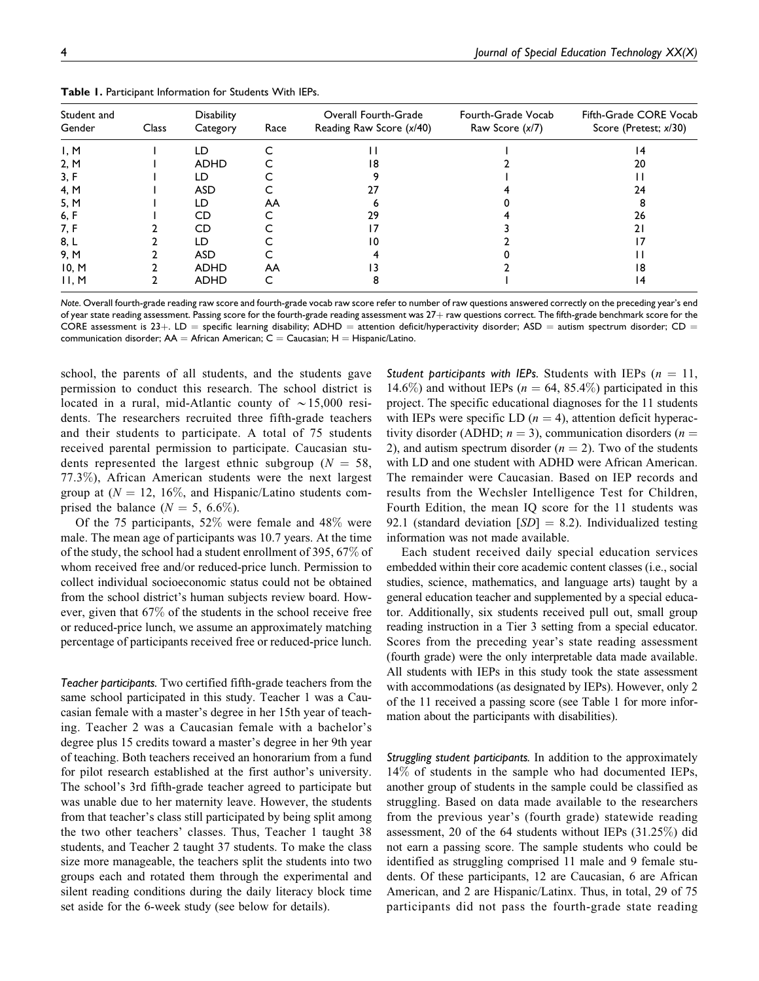| Student and<br>Gender | <b>Class</b> | <b>Disability</b><br>Category | Race | Overall Fourth-Grade<br>Reading Raw Score (x/40) | Fourth-Grade Vocab<br>Raw Score (x/7) | Fifth-Grade CORE Vocab<br>Score (Pretest; x/30) |
|-----------------------|--------------|-------------------------------|------|--------------------------------------------------|---------------------------------------|-------------------------------------------------|
| I, M                  |              | LD                            |      |                                                  |                                       | 4                                               |
| 2, M                  |              | <b>ADHD</b>                   |      | 18                                               |                                       | 20                                              |
| 3, F                  |              | LD                            |      |                                                  |                                       |                                                 |
| 4, M                  |              | <b>ASD</b>                    |      |                                                  |                                       | 24                                              |
| 5, M                  |              | LD                            | AA   |                                                  |                                       |                                                 |
| 6, F                  |              | CD                            |      | 29                                               |                                       | 26                                              |
| 7, F                  |              | CD                            |      |                                                  |                                       |                                                 |
| 8, L                  |              | LD                            |      |                                                  |                                       |                                                 |
| 9, M                  |              | ASD                           |      |                                                  |                                       |                                                 |
| 10, M                 |              | <b>ADHD</b>                   | AA   |                                                  |                                       | 18                                              |
| II, M                 |              | <b>ADHD</b>                   | C    | 8                                                |                                       | 14                                              |

Table 1. Participant Information for Students With IEPs.

Note. Overall fourth-grade reading raw score and fourth-grade vocab raw score refer to number of raw questions answered correctly on the preceding year's end of year state reading assessment. Passing score for the fourth-grade reading assessment was 27+ raw questions correct. The fifth-grade benchmark score for the CORE assessment is 23+. LD = specific learning disability; ADHD = attention deficit/hyperactivity disorder; ASD = autism spectrum disorder; CD = communication disorder;  $AA =$  African American;  $C =$  Caucasian; H = Hispanic/Latino.

school, the parents of all students, and the students gave permission to conduct this research. The school district is located in a rural, mid-Atlantic county of  $\sim$  15,000 residents. The researchers recruited three fifth-grade teachers and their students to participate. A total of 75 students received parental permission to participate. Caucasian students represented the largest ethnic subgroup ( $N = 58$ , 77.3%), African American students were the next largest group at  $(N = 12, 16\%, \text{ and Hispanic/Latino students com-})$ prised the balance ( $N = 5, 6.6\%$ ).

Of the 75 participants, 52% were female and 48% were male. The mean age of participants was 10.7 years. At the time of the study, the school had a student enrollment of 395, 67% of whom received free and/or reduced-price lunch. Permission to collect individual socioeconomic status could not be obtained from the school district's human subjects review board. However, given that 67% of the students in the school receive free or reduced-price lunch, we assume an approximately matching percentage of participants received free or reduced-price lunch.

Teacher participants. Two certified fifth-grade teachers from the same school participated in this study. Teacher 1 was a Caucasian female with a master's degree in her 15th year of teaching. Teacher 2 was a Caucasian female with a bachelor's degree plus 15 credits toward a master's degree in her 9th year of teaching. Both teachers received an honorarium from a fund for pilot research established at the first author's university. The school's 3rd fifth-grade teacher agreed to participate but was unable due to her maternity leave. However, the students from that teacher's class still participated by being split among the two other teachers' classes. Thus, Teacher 1 taught 38 students, and Teacher 2 taught 37 students. To make the class size more manageable, the teachers split the students into two groups each and rotated them through the experimental and silent reading conditions during the daily literacy block time set aside for the 6-week study (see below for details).

Student participants with IEPs. Students with IEPs ( $n = 11$ , 14.6%) and without IEPs ( $n = 64, 85.4\%$ ) participated in this project. The specific educational diagnoses for the 11 students with IEPs were specific LD  $(n = 4)$ , attention deficit hyperactivity disorder (ADHD;  $n = 3$ ), communication disorders ( $n =$ 2), and autism spectrum disorder  $(n = 2)$ . Two of the students with LD and one student with ADHD were African American. The remainder were Caucasian. Based on IEP records and results from the Wechsler Intelligence Test for Children, Fourth Edition, the mean IQ score for the 11 students was 92.1 (standard deviation  $[SD] = 8.2$ ). Individualized testing information was not made available.

Each student received daily special education services embedded within their core academic content classes (i.e., social studies, science, mathematics, and language arts) taught by a general education teacher and supplemented by a special educator. Additionally, six students received pull out, small group reading instruction in a Tier 3 setting from a special educator. Scores from the preceding year's state reading assessment (fourth grade) were the only interpretable data made available. All students with IEPs in this study took the state assessment with accommodations (as designated by IEPs). However, only 2 of the 11 received a passing score (see Table 1 for more information about the participants with disabilities).

Struggling student participants. In addition to the approximately 14% of students in the sample who had documented IEPs, another group of students in the sample could be classified as struggling. Based on data made available to the researchers from the previous year's (fourth grade) statewide reading assessment, 20 of the 64 students without IEPs (31.25%) did not earn a passing score. The sample students who could be identified as struggling comprised 11 male and 9 female students. Of these participants, 12 are Caucasian, 6 are African American, and 2 are Hispanic/Latinx. Thus, in total, 29 of 75 participants did not pass the fourth-grade state reading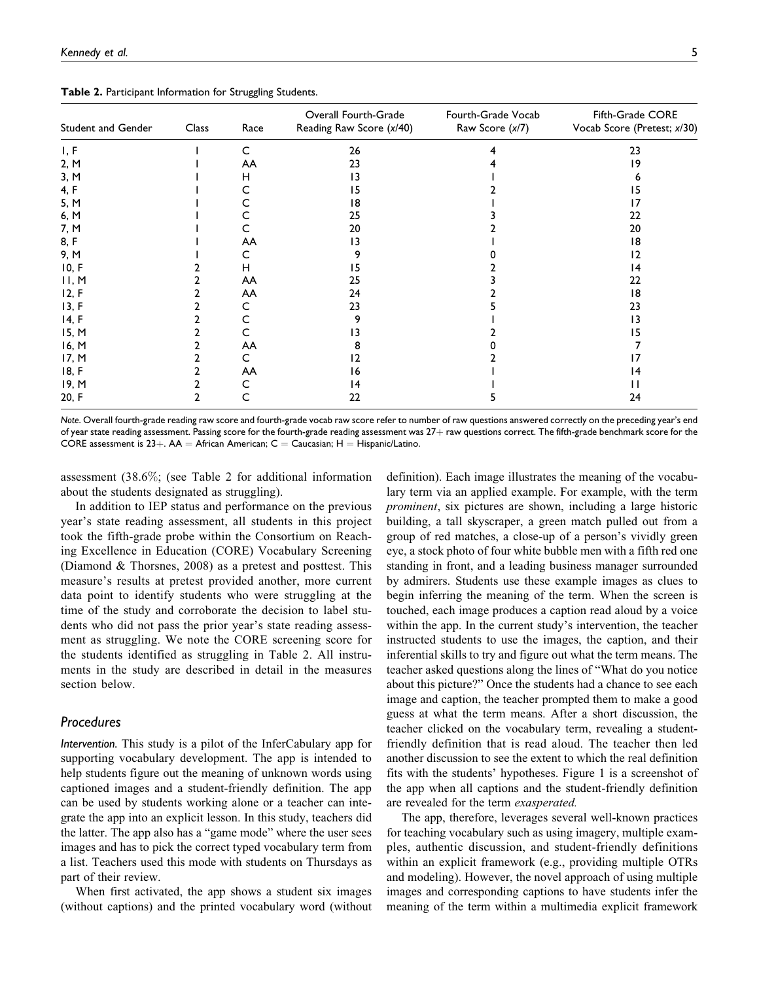|  |  | Table 2. Participant Information for Struggling Students. |  |  |  |
|--|--|-----------------------------------------------------------|--|--|--|
|--|--|-----------------------------------------------------------|--|--|--|

| Student and Gender | Class | Race | Overall Fourth-Grade<br>Reading Raw Score (x/40) | Fourth-Grade Vocab<br>Raw Score (x/7) | Fifth-Grade CORE<br>Vocab Score (Pretest; x/30) |
|--------------------|-------|------|--------------------------------------------------|---------------------------------------|-------------------------------------------------|
| I, F               |       |      | 26                                               |                                       | 23                                              |
| 2, M               |       | AA   | 23                                               |                                       | 19                                              |
| 3, M               |       | н    | 13                                               |                                       |                                                 |
| 4, F               |       |      | 15                                               |                                       | 15                                              |
| 5, M               |       |      | 18                                               |                                       |                                                 |
| 6, M               |       |      | 25                                               |                                       | 22                                              |
| 7, M               |       |      | 20                                               |                                       | 20                                              |
| 8, F               |       | AA   | 13                                               |                                       | 18                                              |
| 9, M               |       |      |                                                  |                                       | $\overline{12}$                                 |
| 10, F              |       | н    | 15                                               |                                       | 14                                              |
| II, M              |       | AA   | 25                                               |                                       | 22                                              |
| 12, F              |       | AA   | 24                                               |                                       | 18                                              |
| 13, F              |       |      | 23                                               |                                       | 23                                              |
| 14, F              |       |      |                                                  |                                       | 13                                              |
| 15, M              |       |      | 3                                                |                                       | 15                                              |
| 16, M              |       | AA   |                                                  |                                       |                                                 |
| 17, M              |       |      |                                                  |                                       |                                                 |
| 18, F              |       | AA   | 16                                               |                                       | 14                                              |
| 19, M              |       |      | 14                                               |                                       |                                                 |
| 20, F              |       |      | 22                                               |                                       | 24                                              |

Note. Overall fourth-grade reading raw score and fourth-grade vocab raw score refer to number of raw questions answered correctly on the preceding year's end of year state reading assessment. Passing score for the fourth-grade reading assessment was  $27+$  raw questions correct. The fifth-grade benchmark score for the CORE assessment is  $23+$ . AA = African American; C = Caucasian; H = Hispanic/Latino.

assessment (38.6%; (see Table 2 for additional information about the students designated as struggling).

In addition to IEP status and performance on the previous year's state reading assessment, all students in this project took the fifth-grade probe within the Consortium on Reaching Excellence in Education (CORE) Vocabulary Screening (Diamond & Thorsnes, 2008) as a pretest and posttest. This measure's results at pretest provided another, more current data point to identify students who were struggling at the time of the study and corroborate the decision to label students who did not pass the prior year's state reading assessment as struggling. We note the CORE screening score for the students identified as struggling in Table 2. All instruments in the study are described in detail in the measures section below.

## Procedures

Intervention. This study is a pilot of the InferCabulary app for supporting vocabulary development. The app is intended to help students figure out the meaning of unknown words using captioned images and a student-friendly definition. The app can be used by students working alone or a teacher can integrate the app into an explicit lesson. In this study, teachers did the latter. The app also has a "game mode" where the user sees images and has to pick the correct typed vocabulary term from a list. Teachers used this mode with students on Thursdays as part of their review.

When first activated, the app shows a student six images (without captions) and the printed vocabulary word (without

definition). Each image illustrates the meaning of the vocabulary term via an applied example. For example, with the term prominent, six pictures are shown, including a large historic building, a tall skyscraper, a green match pulled out from a group of red matches, a close-up of a person's vividly green eye, a stock photo of four white bubble men with a fifth red one standing in front, and a leading business manager surrounded by admirers. Students use these example images as clues to begin inferring the meaning of the term. When the screen is touched, each image produces a caption read aloud by a voice within the app. In the current study's intervention, the teacher instructed students to use the images, the caption, and their inferential skills to try and figure out what the term means. The teacher asked questions along the lines of "What do you notice about this picture?" Once the students had a chance to see each image and caption, the teacher prompted them to make a good guess at what the term means. After a short discussion, the teacher clicked on the vocabulary term, revealing a studentfriendly definition that is read aloud. The teacher then led another discussion to see the extent to which the real definition fits with the students' hypotheses. Figure 1 is a screenshot of the app when all captions and the student-friendly definition are revealed for the term exasperated.

The app, therefore, leverages several well-known practices for teaching vocabulary such as using imagery, multiple examples, authentic discussion, and student-friendly definitions within an explicit framework (e.g., providing multiple OTRs and modeling). However, the novel approach of using multiple images and corresponding captions to have students infer the meaning of the term within a multimedia explicit framework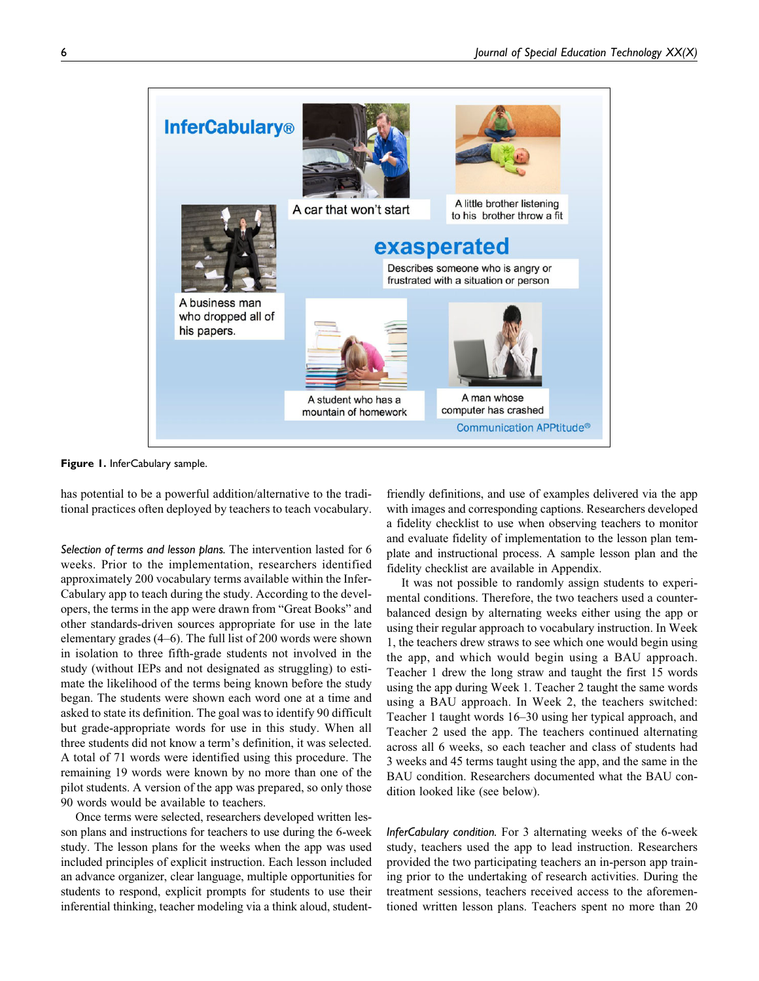

Figure 1. InferCabulary sample.

has potential to be a powerful addition/alternative to the traditional practices often deployed by teachers to teach vocabulary.

Selection of terms and lesson plans. The intervention lasted for 6 weeks. Prior to the implementation, researchers identified approximately 200 vocabulary terms available within the Infer-Cabulary app to teach during the study. According to the developers, the terms in the app were drawn from "Great Books" and other standards-driven sources appropriate for use in the late elementary grades (4–6). The full list of 200 words were shown in isolation to three fifth-grade students not involved in the study (without IEPs and not designated as struggling) to estimate the likelihood of the terms being known before the study began. The students were shown each word one at a time and asked to state its definition. The goal was to identify 90 difficult but grade-appropriate words for use in this study. When all three students did not know a term's definition, it was selected. A total of 71 words were identified using this procedure. The remaining 19 words were known by no more than one of the pilot students. A version of the app was prepared, so only those 90 words would be available to teachers.

Once terms were selected, researchers developed written lesson plans and instructions for teachers to use during the 6-week study. The lesson plans for the weeks when the app was used included principles of explicit instruction. Each lesson included an advance organizer, clear language, multiple opportunities for students to respond, explicit prompts for students to use their inferential thinking, teacher modeling via a think aloud, student-

friendly definitions, and use of examples delivered via the app with images and corresponding captions. Researchers developed a fidelity checklist to use when observing teachers to monitor and evaluate fidelity of implementation to the lesson plan template and instructional process. A sample lesson plan and the fidelity checklist are available in Appendix.

It was not possible to randomly assign students to experimental conditions. Therefore, the two teachers used a counterbalanced design by alternating weeks either using the app or using their regular approach to vocabulary instruction. In Week 1, the teachers drew straws to see which one would begin using the app, and which would begin using a BAU approach. Teacher 1 drew the long straw and taught the first 15 words using the app during Week 1. Teacher 2 taught the same words using a BAU approach. In Week 2, the teachers switched: Teacher 1 taught words 16–30 using her typical approach, and Teacher 2 used the app. The teachers continued alternating across all 6 weeks, so each teacher and class of students had 3 weeks and 45 terms taught using the app, and the same in the BAU condition. Researchers documented what the BAU condition looked like (see below).

InferCabulary condition. For 3 alternating weeks of the 6-week study, teachers used the app to lead instruction. Researchers provided the two participating teachers an in-person app training prior to the undertaking of research activities. During the treatment sessions, teachers received access to the aforementioned written lesson plans. Teachers spent no more than 20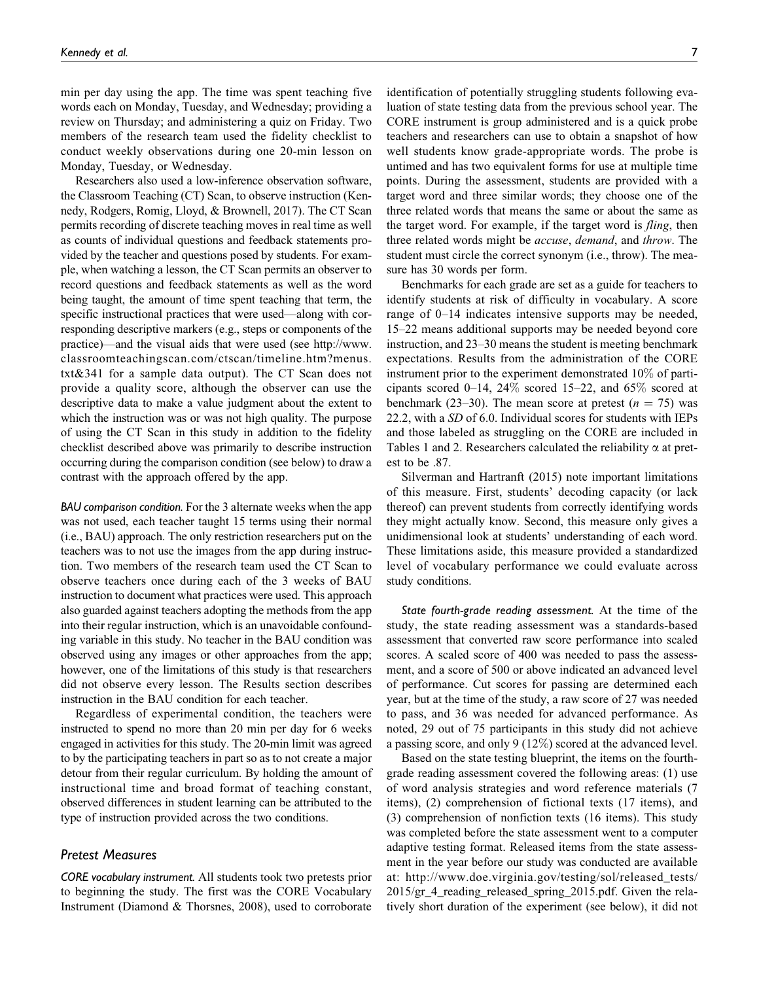min per day using the app. The time was spent teaching five words each on Monday, Tuesday, and Wednesday; providing a review on Thursday; and administering a quiz on Friday. Two members of the research team used the fidelity checklist to conduct weekly observations during one 20-min lesson on Monday, Tuesday, or Wednesday.

Researchers also used a low-inference observation software, the Classroom Teaching (CT) Scan, to observe instruction (Kennedy, Rodgers, Romig, Lloyd, & Brownell, 2017). The CT Scan permits recording of discrete teaching moves in real time as well as counts of individual questions and feedback statements provided by the teacher and questions posed by students. For example, when watching a lesson, the CT Scan permits an observer to record questions and feedback statements as well as the word being taught, the amount of time spent teaching that term, the specific instructional practices that were used—along with corresponding descriptive markers (e.g., steps or components of the practice)—and the visual aids that were used (see [http://www.](http://www.classroomteachingscan.com/ctscan/timeline.htm?menus.txt&341%) [classroomteachingscan.com/ctscan/timeline.htm?menus.](http://www.classroomteachingscan.com/ctscan/timeline.htm?menus.txt&341%) [txt&341 for a sample data output\)](http://www.classroomteachingscan.com/ctscan/timeline.htm?menus.txt&341%). The CT Scan does not provide a quality score, although the observer can use the descriptive data to make a value judgment about the extent to which the instruction was or was not high quality. The purpose of using the CT Scan in this study in addition to the fidelity checklist described above was primarily to describe instruction occurring during the comparison condition (see below) to draw a contrast with the approach offered by the app.

BAU comparison condition. For the 3 alternate weeks when the app was not used, each teacher taught 15 terms using their normal (i.e., BAU) approach. The only restriction researchers put on the teachers was to not use the images from the app during instruction. Two members of the research team used the CT Scan to observe teachers once during each of the 3 weeks of BAU instruction to document what practices were used. This approach also guarded against teachers adopting the methods from the app into their regular instruction, which is an unavoidable confounding variable in this study. No teacher in the BAU condition was observed using any images or other approaches from the app; however, one of the limitations of this study is that researchers did not observe every lesson. The Results section describes instruction in the BAU condition for each teacher.

Regardless of experimental condition, the teachers were instructed to spend no more than 20 min per day for 6 weeks engaged in activities for this study. The 20-min limit was agreed to by the participating teachers in part so as to not create a major detour from their regular curriculum. By holding the amount of instructional time and broad format of teaching constant, observed differences in student learning can be attributed to the type of instruction provided across the two conditions.

#### Pretest Measures

CORE vocabulary instrument. All students took two pretests prior to beginning the study. The first was the CORE Vocabulary Instrument (Diamond & Thorsnes, 2008), used to corroborate identification of potentially struggling students following evaluation of state testing data from the previous school year. The CORE instrument is group administered and is a quick probe teachers and researchers can use to obtain a snapshot of how well students know grade-appropriate words. The probe is untimed and has two equivalent forms for use at multiple time points. During the assessment, students are provided with a target word and three similar words; they choose one of the three related words that means the same or about the same as the target word. For example, if the target word is *fling*, then three related words might be accuse, demand, and throw. The student must circle the correct synonym (i.e., throw). The measure has 30 words per form.

Benchmarks for each grade are set as a guide for teachers to identify students at risk of difficulty in vocabulary. A score range of 0–14 indicates intensive supports may be needed, 15–22 means additional supports may be needed beyond core instruction, and 23–30 means the student is meeting benchmark expectations. Results from the administration of the CORE instrument prior to the experiment demonstrated 10% of participants scored 0–14, 24% scored 15–22, and  $65\%$  scored at benchmark (23–30). The mean score at pretest ( $n = 75$ ) was 22.2, with a SD of 6.0. Individual scores for students with IEPs and those labeled as struggling on the CORE are included in Tables 1 and 2. Researchers calculated the reliability  $\alpha$  at pretest to be .87.

Silverman and Hartranft (2015) note important limitations of this measure. First, students' decoding capacity (or lack thereof) can prevent students from correctly identifying words they might actually know. Second, this measure only gives a unidimensional look at students' understanding of each word. These limitations aside, this measure provided a standardized level of vocabulary performance we could evaluate across study conditions.

State fourth-grade reading assessment. At the time of the study, the state reading assessment was a standards-based assessment that converted raw score performance into scaled scores. A scaled score of 400 was needed to pass the assessment, and a score of 500 or above indicated an advanced level of performance. Cut scores for passing are determined each year, but at the time of the study, a raw score of 27 was needed to pass, and 36 was needed for advanced performance. As noted, 29 out of 75 participants in this study did not achieve a passing score, and only 9 (12%) scored at the advanced level.

Based on the state testing blueprint, the items on the fourthgrade reading assessment covered the following areas: (1) use of word analysis strategies and word reference materials (7 items), (2) comprehension of fictional texts (17 items), and (3) comprehension of nonfiction texts (16 items). This study was completed before the state assessment went to a computer adaptive testing format. Released items from the state assessment in the year before our study was conducted are available at: [http://www.doe.virginia.gov/testing/sol/released\\_tests/](http://www.doe.virginia.gov/testing/sol/released_tests/2015/gr_4_reading_released_spring_2015.pdf) [2015/gr\\_4\\_reading\\_released\\_spring\\_2015.pdf](http://www.doe.virginia.gov/testing/sol/released_tests/2015/gr_4_reading_released_spring_2015.pdf). Given the relatively short duration of the experiment (see below), it did not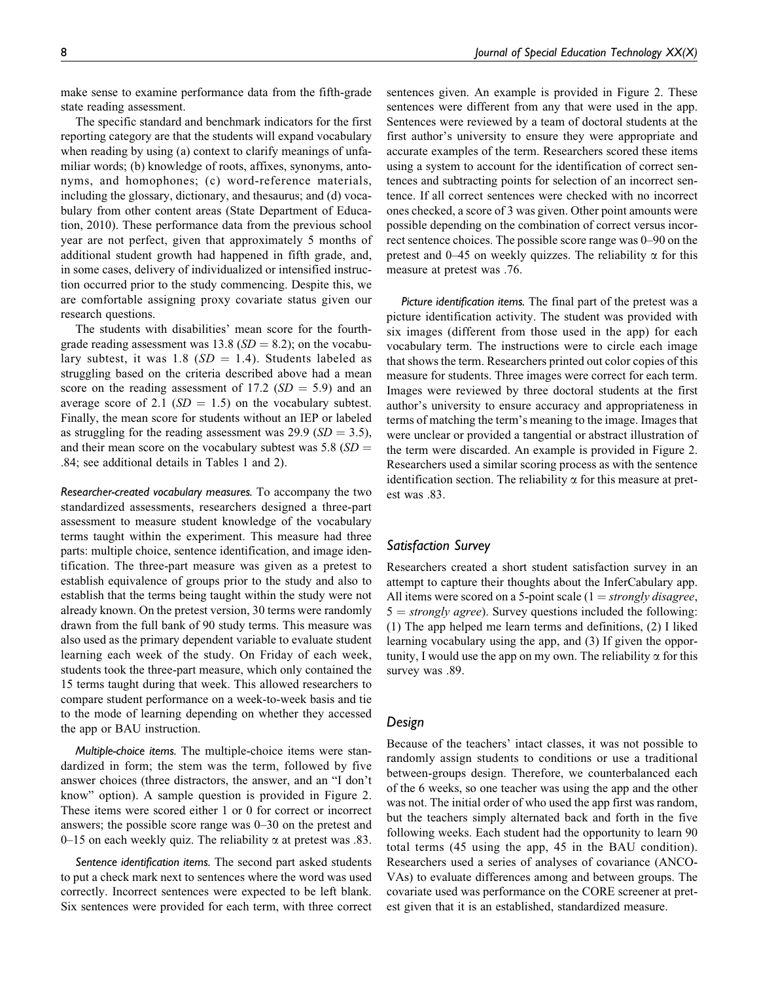make sense to examine performance data from the fifth-grade state reading assessment.

The specific standard and benchmark indicators for the first reporting category are that the students will expand vocabulary when reading by using (a) context to clarify meanings of unfamiliar words; (b) knowledge of roots, affixes, synonyms, antonyms, and homophones; (c) word-reference materials, including the glossary, dictionary, and thesaurus; and (d) vocabulary from other content areas (State Department of Education, 2010). These performance data from the previous school year are not perfect, given that approximately 5 months of additional student growth had happened in fifth grade, and, in some cases, delivery of individualized or intensified instruction occurred prior to the study commencing. Despite this, we are comfortable assigning proxy covariate status given our research questions.

The students with disabilities' mean score for the fourthgrade reading assessment was 13.8 ( $SD = 8.2$ ); on the vocabulary subtest, it was 1.8 ( $SD = 1.4$ ). Students labeled as struggling based on the criteria described above had a mean score on the reading assessment of 17.2 ( $SD = 5.9$ ) and an average score of 2.1 ( $SD = 1.5$ ) on the vocabulary subtest. Finally, the mean score for students without an IEP or labeled as struggling for the reading assessment was 29.9 ( $SD = 3.5$ ), and their mean score on the vocabulary subtest was  $5.8$  (SD = .84; see additional details in Tables 1 and 2).

Researcher-created vocabulary measures. To accompany the two standardized assessments, researchers designed a three-part assessment to measure student knowledge of the vocabulary terms taught within the experiment. This measure had three parts: multiple choice, sentence identification, and image identification. The three-part measure was given as a pretest to establish equivalence of groups prior to the study and also to establish that the terms being taught within the study were not already known. On the pretest version, 30 terms were randomly drawn from the full bank of 90 study terms. This measure was also used as the primary dependent variable to evaluate student learning each week of the study. On Friday of each week, students took the three-part measure, which only contained the 15 terms taught during that week. This allowed researchers to compare student performance on a week-to-week basis and tie to the mode of learning depending on whether they accessed the app or BAU instruction.

Multiple-choice items. The multiple-choice items were standardized in form; the stem was the term, followed by five answer choices (three distractors, the answer, and an "I don't know" option). A sample question is provided in Figure 2. These items were scored either 1 or 0 for correct or incorrect answers; the possible score range was 0–30 on the pretest and 0–15 on each weekly quiz. The reliability  $\alpha$  at pretest was .83.

Sentence identification items. The second part asked students to put a check mark next to sentences where the word was used correctly. Incorrect sentences were expected to be left blank. Six sentences were provided for each term, with three correct sentences given. An example is provided in Figure 2. These sentences were different from any that were used in the app. Sentences were reviewed by a team of doctoral students at the first author's university to ensure they were appropriate and accurate examples of the term. Researchers scored these items using a system to account for the identification of correct sentences and subtracting points for selection of an incorrect sentence. If all correct sentences were checked with no incorrect ones checked, a score of 3 was given. Other point amounts were possible depending on the combination of correct versus incorrect sentence choices. The possible score range was 0–90 on the pretest and 0–45 on weekly quizzes. The reliability  $\alpha$  for this measure at pretest was .76.

Picture identification items. The final part of the pretest was a picture identification activity. The student was provided with six images (different from those used in the app) for each vocabulary term. The instructions were to circle each image that shows the term. Researchers printed out color copies of this measure for students. Three images were correct for each term. Images were reviewed by three doctoral students at the first author's university to ensure accuracy and appropriateness in terms of matching the term's meaning to the image. Images that were unclear or provided a tangential or abstract illustration of the term were discarded. An example is provided in Figure 2. Researchers used a similar scoring process as with the sentence identification section. The reliability  $\alpha$  for this measure at pretest was .83.

#### Satisfaction Survey

Researchers created a short student satisfaction survey in an attempt to capture their thoughts about the InferCabulary app. All items were scored on a 5-point scale  $(1 = strongly \, disagree,$  $5 = strongly agree$ ). Survey questions included the following: (1) The app helped me learn terms and definitions, (2) I liked learning vocabulary using the app, and (3) If given the opportunity, I would use the app on my own. The reliability  $\alpha$  for this survey was .89.

## Design

Because of the teachers' intact classes, it was not possible to randomly assign students to conditions or use a traditional between-groups design. Therefore, we counterbalanced each of the 6 weeks, so one teacher was using the app and the other was not. The initial order of who used the app first was random, but the teachers simply alternated back and forth in the five following weeks. Each student had the opportunity to learn 90 total terms (45 using the app, 45 in the BAU condition). Researchers used a series of analyses of covariance (ANCO-VAs) to evaluate differences among and between groups. The covariate used was performance on the CORE screener at pretest given that it is an established, standardized measure.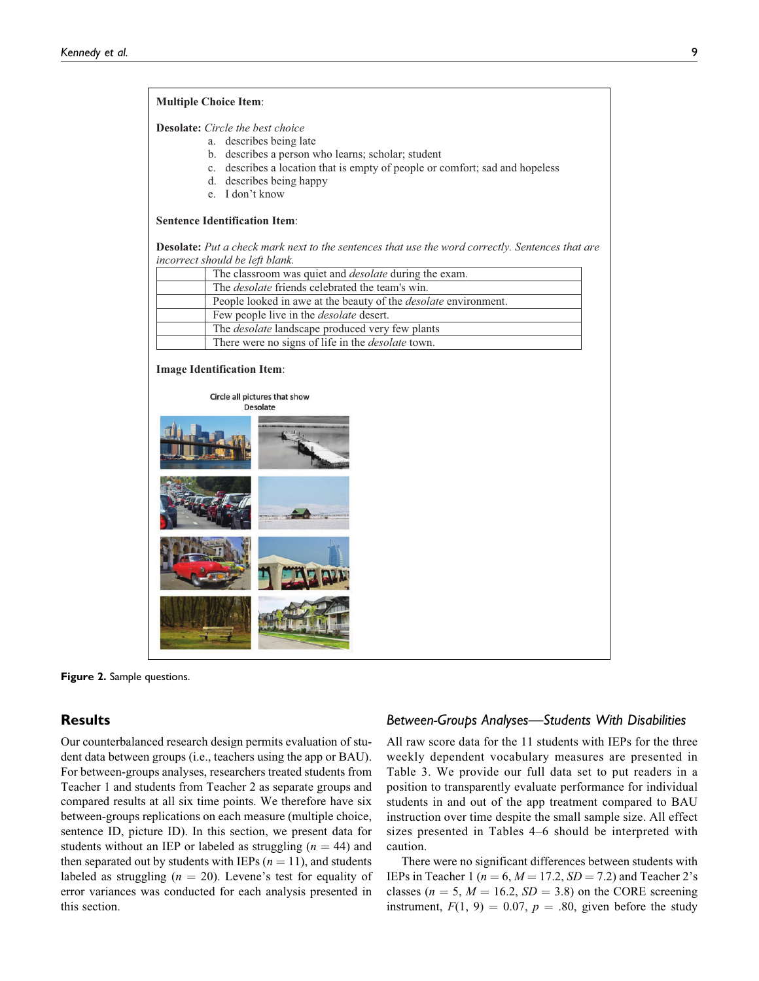#### **Multiple Choice Item**:

#### **Desolate:** *Circle the best choice*

- a. describes being late
- b. describes a person who learns; scholar; student
- c. describes a location that is empty of people or comfort; sad and hopeless
- d. describes being happy
- e. I don't know

#### **Sentence Identification Item**:

**Desolate:** *Put a check mark next to the sentences that use the word correctly. Sentences that are incorrect should be left blank.* 

| The classroom was quiet and <i>desolate</i> during the exam.           |
|------------------------------------------------------------------------|
| The <i>desolate</i> friends celebrated the team's win.                 |
| People looked in awe at the beauty of the <i>desolate</i> environment. |
| Few people live in the <i>desolate</i> desert.                         |
| The <i>desolate</i> landscape produced very few plants                 |
| There were no signs of life in the <i>desolate</i> town.               |

#### **Image Identification Item**:



Figure 2. Sample questions.

#### **Results**

Our counterbalanced research design permits evaluation of student data between groups (i.e., teachers using the app or BAU). For between-groups analyses, researchers treated students from Teacher 1 and students from Teacher 2 as separate groups and compared results at all six time points. We therefore have six between-groups replications on each measure (multiple choice, sentence ID, picture ID). In this section, we present data for students without an IEP or labeled as struggling  $(n = 44)$  and then separated out by students with IEPs  $(n = 11)$ , and students labeled as struggling ( $n = 20$ ). Levene's test for equality of error variances was conducted for each analysis presented in this section.

#### Between-Groups Analyses—Students With Disabilities

All raw score data for the 11 students with IEPs for the three weekly dependent vocabulary measures are presented in Table 3. We provide our full data set to put readers in a position to transparently evaluate performance for individual students in and out of the app treatment compared to BAU instruction over time despite the small sample size. All effect sizes presented in Tables 4–6 should be interpreted with caution.

There were no significant differences between students with IEPs in Teacher 1 ( $n = 6$ ,  $M = 17.2$ ,  $SD = 7.2$ ) and Teacher 2's classes ( $n = 5$ ,  $M = 16.2$ ,  $SD = 3.8$ ) on the CORE screening instrument,  $F(1, 9) = 0.07$ ,  $p = .80$ , given before the study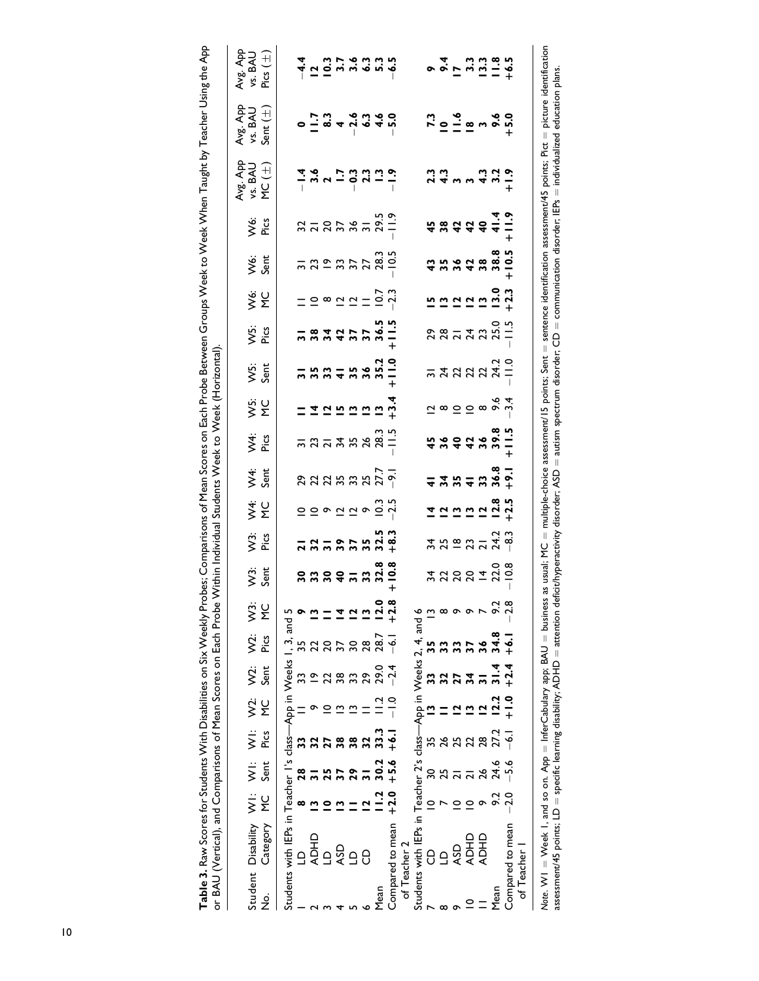|                                       | or BAU (Vertical), and Comparisons of Mean Scores on Each Probe                                                |                         |                            |                   |                                                                                   |                                                                                                                                                                                                                                                                                                                                 |                   |                                                                  |                  |                                   |                |                                                                                                                                          | Within Individual Students Week to Week (Horizontal),                                                                                                                                                                                                                                                               |                                                                                  |                                  |                |                                                                |                                                                                                                                                                                                                                                                           |                                                                                                                               |                                                                                                                                                                                                                                                                                                                               |                                                                                                                                                                                                                                                                                                         |                                                                                                          |
|---------------------------------------|----------------------------------------------------------------------------------------------------------------|-------------------------|----------------------------|-------------------|-----------------------------------------------------------------------------------|---------------------------------------------------------------------------------------------------------------------------------------------------------------------------------------------------------------------------------------------------------------------------------------------------------------------------------|-------------------|------------------------------------------------------------------|------------------|-----------------------------------|----------------|------------------------------------------------------------------------------------------------------------------------------------------|---------------------------------------------------------------------------------------------------------------------------------------------------------------------------------------------------------------------------------------------------------------------------------------------------------------------|----------------------------------------------------------------------------------|----------------------------------|----------------|----------------------------------------------------------------|---------------------------------------------------------------------------------------------------------------------------------------------------------------------------------------------------------------------------------------------------------------------------|-------------------------------------------------------------------------------------------------------------------------------|-------------------------------------------------------------------------------------------------------------------------------------------------------------------------------------------------------------------------------------------------------------------------------------------------------------------------------|---------------------------------------------------------------------------------------------------------------------------------------------------------------------------------------------------------------------------------------------------------------------------------------------------------|----------------------------------------------------------------------------------------------------------|
|                                       | Student Disability                                                                                             | $\frac{1}{5}$           | $\frac{1}{5}$              | $rac{1}{5}$       | $\ddot{x}$                                                                        | Ż.                                                                                                                                                                                                                                                                                                                              | Ż.                | $\ddot{\mathcal{S}}$                                             |                  |                                   |                |                                                                                                                                          |                                                                                                                                                                                                                                                                                                                     |                                                                                  |                                  |                | ψά<br>Σ                                                        |                                                                                                                                                                                                                                                                           |                                                                                                                               | Avg. App<br>vs. BAU<br>MC (±)                                                                                                                                                                                                                                                                                                 | Avg. App<br>vs. BAU<br>Sent (±)                                                                                                                                                                                                                                                                         | $\begin{array}{c}\n\text{Avg. App} \\ \text{vs. BAU} \\ \text{Pics } (\pm) \n\end{array}$                |
| $\frac{\dot{\mathsf{S}}}{\mathsf{Z}}$ | Category                                                                                                       | Σ                       | Sent                       | Pics              | Σ                                                                                 | Sent                                                                                                                                                                                                                                                                                                                            | Pics              | Σ                                                                | V <sub>3</sub> : | $\sum_{i=1}^{n}$                  | ΨË<br>Σ        | V4:<br>Sent                                                                                                                              | i<br>Š č                                                                                                                                                                                                                                                                                                            | ξëς                                                                              | V5:<br>Sent                      | y.<br>Pig      |                                                                | V <sup>6</sup><br>Sent                                                                                                                                                                                                                                                    | Vé:<br>Pics                                                                                                                   |                                                                                                                                                                                                                                                                                                                               |                                                                                                                                                                                                                                                                                                         |                                                                                                          |
|                                       |                                                                                                                |                         |                            |                   |                                                                                   |                                                                                                                                                                                                                                                                                                                                 |                   |                                                                  |                  |                                   |                |                                                                                                                                          |                                                                                                                                                                                                                                                                                                                     |                                                                                  |                                  |                |                                                                |                                                                                                                                                                                                                                                                           |                                                                                                                               |                                                                                                                                                                                                                                                                                                                               |                                                                                                                                                                                                                                                                                                         |                                                                                                          |
|                                       | Students with IEPs in Teacher I's class—App in Weeks I, 3, and 5<br>1 D D 8 28 33 II 33 35 9                   |                         |                            |                   |                                                                                   |                                                                                                                                                                                                                                                                                                                                 |                   |                                                                  |                  |                                   |                |                                                                                                                                          |                                                                                                                                                                                                                                                                                                                     |                                                                                  |                                  |                |                                                                |                                                                                                                                                                                                                                                                           |                                                                                                                               |                                                                                                                                                                                                                                                                                                                               |                                                                                                                                                                                                                                                                                                         |                                                                                                          |
|                                       | e g<br>a g                                                                                                     |                         |                            |                   |                                                                                   |                                                                                                                                                                                                                                                                                                                                 | 228               |                                                                  | 8384233410       | 121927551<br>12227542             | 00000000000000 | n<br>2010 - 2010 - 2010<br>2010 - 2010 - 2010 - 2010 - 2010 - 2010 - 2010 - 2010 - 2010 - 2010 - 2010 - 2010 - 2010 - 2010 - 2010 - 2010 | $\frac{1}{2}$ $\frac{1}{2}$ $\frac{1}{2}$ $\frac{1}{2}$ $\frac{1}{2}$ $\frac{1}{2}$ $\frac{1}{2}$ $\frac{1}{2}$ $\frac{1}{2}$ $\frac{1}{2}$ $\frac{1}{2}$ $\frac{1}{2}$ $\frac{1}{2}$ $\frac{1}{2}$ $\frac{1}{2}$ $\frac{1}{2}$ $\frac{1}{2}$ $\frac{1}{2}$ $\frac{1}{2}$ $\frac{1}{2}$ $\frac{1}{2}$ $\frac{1}{2}$ |                                                                                  | $-28.348887$<br>$-1.0$<br>$-1.0$ | = 824552211777 | $= 9$ $\omega$ $= 5$ $\frac{1}{2}$ $\frac{1}{2}$ $\frac{1}{2}$ | $\frac{1}{2}$ $\frac{1}{2}$ $\frac{1}{2}$ $\frac{1}{2}$ $\frac{1}{2}$ $\frac{1}{2}$ $\frac{1}{2}$ $\frac{1}{2}$ $\frac{1}{2}$ $\frac{1}{2}$ $\frac{1}{2}$ $\frac{1}{2}$ $\frac{1}{2}$ $\frac{1}{2}$ $\frac{1}{2}$ $\frac{1}{2}$ $\frac{1}{2}$ $\frac{1}{2}$ $\frac{1}{2}$ | $\frac{1}{2}$ $\frac{1}{2}$ $\frac{1}{2}$ $\frac{1}{2}$ $\frac{1}{2}$ $\frac{1}{2}$ $\frac{1}{2}$ $\frac{1}{2}$ $\frac{1}{2}$ | $-1.3$<br>$-3.3$<br>$-1.3$<br>$-1.3$<br>$-1.3$<br>$-1.3$                                                                                                                                                                                                                                                                      | $0 = 2$<br>$-2$<br>$-3$<br>$-3$<br>$-3$<br>$-3$<br>$-3$<br>$-3$<br>$-3$<br>$-3$<br>$-3$<br>$-3$<br>$-3$<br>$-3$<br>$-3$<br>$-3$<br>$-3$<br>$-3$<br>$-3$<br>$-3$<br>$-3$<br>$-3$<br>$-3$<br>$-3$<br>$-3$<br>$-3$<br>$-3$<br>$-3$<br>$-3$<br>$-3$<br>$-3$<br>$-3$<br>$-3$<br>$-3$<br>$-3$<br>$-3$<br>$-3$ |                                                                                                          |
|                                       |                                                                                                                |                         | $\frac{1}{2}$              |                   |                                                                                   |                                                                                                                                                                                                                                                                                                                                 |                   |                                                                  |                  |                                   |                |                                                                                                                                          |                                                                                                                                                                                                                                                                                                                     |                                                                                  |                                  |                |                                                                |                                                                                                                                                                                                                                                                           |                                                                                                                               |                                                                                                                                                                                                                                                                                                                               |                                                                                                                                                                                                                                                                                                         |                                                                                                          |
|                                       | ASD                                                                                                            |                         |                            |                   |                                                                                   |                                                                                                                                                                                                                                                                                                                                 |                   |                                                                  |                  |                                   |                |                                                                                                                                          |                                                                                                                                                                                                                                                                                                                     |                                                                                  |                                  |                |                                                                |                                                                                                                                                                                                                                                                           |                                                                                                                               |                                                                                                                                                                                                                                                                                                                               |                                                                                                                                                                                                                                                                                                         |                                                                                                          |
|                                       | 9 <sub>0</sub>                                                                                                 |                         |                            |                   |                                                                                   |                                                                                                                                                                                                                                                                                                                                 |                   |                                                                  |                  |                                   |                |                                                                                                                                          |                                                                                                                                                                                                                                                                                                                     |                                                                                  |                                  |                |                                                                |                                                                                                                                                                                                                                                                           |                                                                                                                               |                                                                                                                                                                                                                                                                                                                               |                                                                                                                                                                                                                                                                                                         |                                                                                                          |
|                                       |                                                                                                                |                         |                            |                   |                                                                                   |                                                                                                                                                                                                                                                                                                                                 |                   |                                                                  |                  |                                   |                |                                                                                                                                          |                                                                                                                                                                                                                                                                                                                     |                                                                                  |                                  |                |                                                                |                                                                                                                                                                                                                                                                           |                                                                                                                               |                                                                                                                                                                                                                                                                                                                               |                                                                                                                                                                                                                                                                                                         |                                                                                                          |
| Mean                                  |                                                                                                                | $11.2$<br>+2.0          | $30.2$<br>$30.2$<br>$+5.6$ | $33.3 + 6.1$      |                                                                                   | $\begin{array}{c} 2888004 \\ 298000 \\ -20000 \\ -20000 \\ -20000 \\ -20000 \\ -20000 \\ -20000 \\ -20000 \\ -20000 \\ -20000 \\ -20000 \\ -20000 \\ -20000 \\ -20000 \\ -20000 \\ -20000 \\ -20000 \\ -20000 \\ -20000 \\ -20000 \\ -20000 \\ -20000 \\ -20000 \\ -20000 \\ -20000 \\ -20000 \\ -20000 \\ -20000 \\ -20000 \\$ | $\frac{28}{28.7}$ | $\frac{1}{2}$<br>$\frac{1}{2}$<br>$\frac{1}{2}$<br>$\frac{1}{2}$ |                  |                                   |                |                                                                                                                                          |                                                                                                                                                                                                                                                                                                                     |                                                                                  |                                  |                |                                                                |                                                                                                                                                                                                                                                                           |                                                                                                                               |                                                                                                                                                                                                                                                                                                                               |                                                                                                                                                                                                                                                                                                         |                                                                                                          |
|                                       | Compared to mean                                                                                               |                         |                            |                   | $-1.0$                                                                            |                                                                                                                                                                                                                                                                                                                                 |                   |                                                                  |                  |                                   |                |                                                                                                                                          |                                                                                                                                                                                                                                                                                                                     |                                                                                  |                                  |                |                                                                |                                                                                                                                                                                                                                                                           |                                                                                                                               |                                                                                                                                                                                                                                                                                                                               |                                                                                                                                                                                                                                                                                                         |                                                                                                          |
|                                       | of Teacher 2                                                                                                   |                         |                            |                   |                                                                                   |                                                                                                                                                                                                                                                                                                                                 |                   |                                                                  |                  |                                   |                |                                                                                                                                          |                                                                                                                                                                                                                                                                                                                     |                                                                                  |                                  |                |                                                                |                                                                                                                                                                                                                                                                           |                                                                                                                               |                                                                                                                                                                                                                                                                                                                               |                                                                                                                                                                                                                                                                                                         |                                                                                                          |
|                                       | Students with IEPs in Teacher 2's class—App in Weeks 2, 4, and 6<br>7<br>7<br>10<br>30<br>35<br>13<br>33<br>35 |                         |                            |                   |                                                                                   |                                                                                                                                                                                                                                                                                                                                 |                   |                                                                  |                  |                                   |                |                                                                                                                                          |                                                                                                                                                                                                                                                                                                                     |                                                                                  |                                  |                |                                                                |                                                                                                                                                                                                                                                                           |                                                                                                                               |                                                                                                                                                                                                                                                                                                                               |                                                                                                                                                                                                                                                                                                         |                                                                                                          |
|                                       |                                                                                                                | $\overline{\mathsf{C}}$ |                            |                   |                                                                                   |                                                                                                                                                                                                                                                                                                                                 |                   |                                                                  |                  |                                   |                |                                                                                                                                          |                                                                                                                                                                                                                                                                                                                     |                                                                                  |                                  | $28.8 + 2.0$   |                                                                |                                                                                                                                                                                                                                                                           |                                                                                                                               | $\begin{array}{cc} 1 & 4 & 4 & 4 & 4 & 1 \\ 1 & 1 & 1 & 1 & 1 \\ 1 & 1 & 1 & 1 & 1 \\ 1 & 1 & 1 & 1 & 1 \\ 1 & 1 & 1 & 1 & 1 \\ 1 & 1 & 1 & 1 & 1 \\ 1 & 1 & 1 & 1 & 1 \\ 1 & 1 & 1 & 1 & 1 \\ 1 & 1 & 1 & 1 & 1 \\ 1 & 1 & 1 & 1 & 1 \\ 1 & 1 & 1 & 1 & 1 \\ 1 & 1 & 1 & 1 & 1 \\ 1 & 1 & 1 & 1 & 1 \\ 1 & 1 & 1 & 1 & 1 \\$ | $\frac{1}{2}$<br>$\frac{1}{2}$<br>$\frac{1}{2}$<br>$\frac{1}{2}$<br>$\frac{1}{2}$<br>$\frac{1}{2}$<br>$\frac{1}{2}$<br>$\frac{1}{2}$<br>$\frac{1}{2}$<br>$\frac{1}{2}$<br>$\frac{1}{2}$                                                                                                                 |                                                                                                          |
| $\infty$                              |                                                                                                                |                         |                            | 26                |                                                                                   |                                                                                                                                                                                                                                                                                                                                 |                   |                                                                  | * 2 2 2 4 5 6 8  | * 32 32 4 82 7 83<br>* 32 9 7 4 8 |                | $1444444$<br>$694444$<br>$6944$<br>$691$<br>$691$                                                                                        | $28848877$ = 3.488.5                                                                                                                                                                                                                                                                                                | $\vec{a} \times \vec{b}$<br>$\vec{a} \times \vec{c}$<br>$\vec{c} \times \vec{d}$ | =<br>222222-1-02                 |                | 5<br>522331<br>53                                              | 4<br>202022424<br>422428                                                                                                                                                                                                                                                  |                                                                                                                               |                                                                                                                                                                                                                                                                                                                               |                                                                                                                                                                                                                                                                                                         | $\sim$ $\frac{1}{4}$ $\frac{1}{3}$ $\frac{1}{3}$ $\frac{1}{3}$ $\frac{1}{3}$ $\frac{1}{3}$ $\frac{1}{3}$ |
|                                       | ASD                                                                                                            |                         |                            |                   |                                                                                   |                                                                                                                                                                                                                                                                                                                                 |                   | ᡡ                                                                |                  |                                   |                |                                                                                                                                          |                                                                                                                                                                                                                                                                                                                     |                                                                                  |                                  |                |                                                                |                                                                                                                                                                                                                                                                           |                                                                                                                               |                                                                                                                                                                                                                                                                                                                               |                                                                                                                                                                                                                                                                                                         |                                                                                                          |
|                                       | <b>ADHD</b>                                                                                                    |                         |                            |                   |                                                                                   |                                                                                                                                                                                                                                                                                                                                 |                   | $\sim$                                                           |                  |                                   |                |                                                                                                                                          |                                                                                                                                                                                                                                                                                                                     |                                                                                  |                                  |                |                                                                |                                                                                                                                                                                                                                                                           |                                                                                                                               |                                                                                                                                                                                                                                                                                                                               |                                                                                                                                                                                                                                                                                                         |                                                                                                          |
|                                       | <b>ADHD</b>                                                                                                    |                         | 26<br>24.6                 |                   |                                                                                   |                                                                                                                                                                                                                                                                                                                                 |                   |                                                                  |                  |                                   |                |                                                                                                                                          |                                                                                                                                                                                                                                                                                                                     |                                                                                  |                                  |                |                                                                |                                                                                                                                                                                                                                                                           |                                                                                                                               |                                                                                                                                                                                                                                                                                                                               |                                                                                                                                                                                                                                                                                                         |                                                                                                          |
| Mean                                  |                                                                                                                | 9.2                     |                            | $\frac{28}{27.2}$ | $\frac{2}{1}$<br>$\frac{2}{1}$<br>$\frac{2}{1}$<br>$\frac{1}{1}$<br>$\frac{1}{0}$ | $31.4$<br>+ 2.4                                                                                                                                                                                                                                                                                                                 | $34.8$<br>+6.1    | $\sim$                                                           |                  |                                   |                |                                                                                                                                          |                                                                                                                                                                                                                                                                                                                     |                                                                                  |                                  |                |                                                                |                                                                                                                                                                                                                                                                           |                                                                                                                               |                                                                                                                                                                                                                                                                                                                               |                                                                                                                                                                                                                                                                                                         |                                                                                                          |
|                                       | Compared to mean                                                                                               |                         | $-5.6$                     |                   |                                                                                   |                                                                                                                                                                                                                                                                                                                                 |                   | .28                                                              |                  |                                   |                |                                                                                                                                          |                                                                                                                                                                                                                                                                                                                     |                                                                                  |                                  |                |                                                                |                                                                                                                                                                                                                                                                           |                                                                                                                               |                                                                                                                                                                                                                                                                                                                               |                                                                                                                                                                                                                                                                                                         |                                                                                                          |
|                                       | of Teacher                                                                                                     |                         |                            |                   |                                                                                   |                                                                                                                                                                                                                                                                                                                                 |                   |                                                                  |                  |                                   |                |                                                                                                                                          |                                                                                                                                                                                                                                                                                                                     |                                                                                  |                                  |                |                                                                |                                                                                                                                                                                                                                                                           |                                                                                                                               |                                                                                                                                                                                                                                                                                                                               |                                                                                                                                                                                                                                                                                                         |                                                                                                          |
|                                       | Note. WI = Week 1, and so on. App = InferCabulary app; $BAU = \text{business}$                                 |                         |                            |                   |                                                                                   |                                                                                                                                                                                                                                                                                                                                 |                   |                                                                  |                  |                                   |                |                                                                                                                                          |                                                                                                                                                                                                                                                                                                                     |                                                                                  |                                  |                |                                                                |                                                                                                                                                                                                                                                                           |                                                                                                                               |                                                                                                                                                                                                                                                                                                                               | as usual; MC = multiple-choice assessment/15 points; Sent = sentence identification assessment/45 points; Pict = picture identification                                                                                                                                                                 |                                                                                                          |

Table 3. Raw Scores for Students With Disabilities on Six Weekly Probes; Comparisons of Mean Scores on Each Probe Between Groups Week to Week When Taught by Teacher Using the App Table 3. Raw Scores for Students With Disabilities on Six Weekly Probes; Comparisons of Mean Scores on Each Probe Between Groups Week to Week When Taught by Teacher Using the App

Note. W1 = Week 1, and so on. App = InferCabulary app; BAU = business as usual; MC = multiple-choice assessment/15 points; Sent = sentence identification assessment/45 points; Pict = picture identification assessment45 points; LD = specific learning disability; ADHD = attention deficit/hyperactivity disorder; ASD = autism spectrum disorder; CD = communication disorder; IEPs = individualized education plans. assessment/45 points; LD = specific learning disability; ADHD = attention deficit/hyperactivity disorder; ASD = autism spectrum disorder; CD = communication disorder; IEPs = individualized education plans.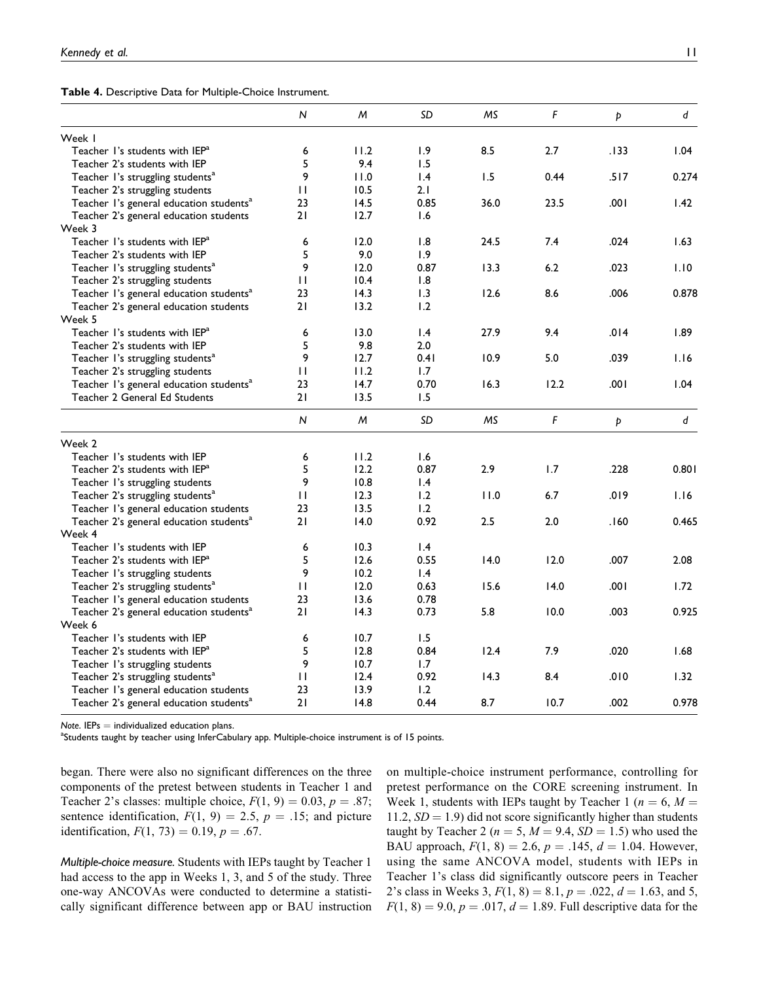| Table 4. Descriptive Data for Multiple-Choice Instrument. |  |  |  |
|-----------------------------------------------------------|--|--|--|
|-----------------------------------------------------------|--|--|--|

|                                                     | $\overline{N}$ | M          | SD              | MS        | F          | Þ    | d     |
|-----------------------------------------------------|----------------|------------|-----------------|-----------|------------|------|-------|
| Week I                                              |                |            |                 |           |            |      |       |
| Teacher I's students with IEP <sup>a</sup>          | 6              | 11.2       | 1.9             | 8.5       | 2.7        | .133 | 1.04  |
| Teacher 2's students with IEP                       | 5              | 9.4        | 1.5             |           |            |      |       |
| Teacher I's struggling students <sup>a</sup>        | 9              | 11.0       | 1.4             | 1.5       | 0.44       | .517 | 0.274 |
| Teacher 2's struggling students                     | $\mathbf{H}$   | 10.5       | 2.1             |           |            |      |       |
| Teacher I's general education students <sup>a</sup> | 23             | 14.5       | 0.85            | 36.0      | 23.5       | .001 | 1.42  |
| Teacher 2's general education students              | 21             | 12.7       | 1.6             |           |            |      |       |
| Week 3                                              |                |            |                 |           |            |      |       |
| Teacher I's students with IEP <sup>a</sup>          | 6              | 12.0       | 1.8             | 24.5      | 7.4        | .024 | 1.63  |
| Teacher 2's students with IEP                       | 5              | 9.0        | 1.9             |           |            |      |       |
| Teacher I's struggling students <sup>a</sup>        | 9              | 12.0       | 0.87            | 13.3      | 6.2        | .023 | 1.10  |
| Teacher 2's struggling students                     | $\mathbf{H}$   | 10.4       | 1.8             |           |            |      |       |
| Teacher I's general education students <sup>a</sup> | 23             | 14.3       | 1.3             | 12.6      | 8.6        | .006 | 0.878 |
| Teacher 2's general education students              | 21             | 13.2       | 1.2             |           |            |      |       |
| Week 5                                              |                |            |                 |           |            |      |       |
| Teacher I's students with IEP <sup>a</sup>          | 6              | 13.0       | 1.4             | 27.9      | 9.4        | .014 | 1.89  |
| Teacher 2's students with IEP                       | 5              | 9.8        | 2.0             |           |            |      |       |
| Teacher I's struggling students <sup>a</sup>        | 9              | 12.7       | 0.41            | 10.9      | 5.0        | .039 | 1.16  |
| Teacher 2's struggling students                     | $\mathbf{H}$   | 11.2       | 1.7             |           |            |      |       |
| Teacher I's general education students <sup>a</sup> | 23             | 14.7       | 0.70            | 16.3      | 12.2       | .001 | 1.04  |
| Teacher 2 General Ed Students                       | 21             | 13.5       | 1.5             |           |            |      |       |
|                                                     | ${\sf N}$      | ${\cal M}$ | SD              | <b>MS</b> | $\digamma$ | Þ    | d     |
| Week 2                                              |                |            |                 |           |            |      |       |
| Teacher I's students with IEP                       | 6              | 11.2       | 1.6             |           |            |      |       |
| Teacher 2's students with IEP <sup>a</sup>          | 5              | 12.2       | 0.87            | 2.9       | 1.7        | .228 | 0.801 |
| Teacher I's struggling students                     | 9              | 10.8       | 1.4             |           |            |      |       |
| Teacher 2's struggling students <sup>a</sup>        | $\mathbf{H}$   | 12.3       | 1.2             | 11.0      | 6.7        | .019 | 1.16  |
| Teacher I's general education students              | 23             | 13.5       | 1.2             |           |            |      |       |
| Teacher 2's general education students <sup>a</sup> | 21             | 14.0       | 0.92            | 2.5       | 2.0        | .160 | 0.465 |
| Week 4                                              |                |            |                 |           |            |      |       |
| Teacher I's students with IEP                       | 6              | 10.3       | 1.4             |           |            |      |       |
| Teacher 2's students with IEP <sup>a</sup>          | 5              | 12.6       | 0.55            | 14.0      | 12.0       | .007 | 2.08  |
| Teacher I's struggling students                     | 9              | 10.2       | $\mathsf{I}$ .4 |           |            |      |       |
| Teacher 2's struggling students <sup>a</sup>        | $\mathbf{H}$   | 12.0       | 0.63            | 15.6      | 14.0       | .001 | 1.72  |
| Teacher I's general education students              | 23             | 13.6       | 0.78            |           |            |      |       |
| Teacher 2's general education students <sup>a</sup> | 21             | 14.3       | 0.73            | 5.8       | 10.0       | .003 | 0.925 |
| Week 6                                              |                |            |                 |           |            |      |       |
| Teacher I's students with IEP                       | 6              | 10.7       | 1.5             |           |            |      |       |
| Teacher 2's students with IEP <sup>a</sup>          | 5              | 12.8       | 0.84            | 12.4      | 7.9        | .020 | 1.68  |
| Teacher I's struggling students                     | 9              | 10.7       | 1.7             |           |            |      |       |
| Teacher 2's struggling students <sup>a</sup>        | $\mathbf{H}$   | 12.4       | 0.92            | 14.3      | 8.4        | .010 | 1.32  |
| Teacher I's general education students              | 23             | 13.9       | 1.2             |           |            |      |       |
| Teacher 2's general education students <sup>a</sup> | 21             | 14.8       | 0.44            | 8.7       | 10.7       | .002 | 0.978 |

Note. IEPs  $=$  individualized education plans.

aStudents taught by teacher using InferCabulary app. Multiple-choice instrument is of 15 points.

began. There were also no significant differences on the three components of the pretest between students in Teacher 1 and Teacher 2's classes: multiple choice,  $F(1, 9) = 0.03$ ,  $p = .87$ ; sentence identification,  $F(1, 9) = 2.5$ ,  $p = .15$ ; and picture identification,  $F(1, 73) = 0.19$ ,  $p = .67$ .

Multiple-choice measure. Students with IEPs taught by Teacher 1 had access to the app in Weeks 1, 3, and 5 of the study. Three one-way ANCOVAs were conducted to determine a statistically significant difference between app or BAU instruction

on multiple-choice instrument performance, controlling for pretest performance on the CORE screening instrument. In Week 1, students with IEPs taught by Teacher 1 ( $n = 6$ ,  $M =$ 11.2,  $SD = 1.9$ ) did not score significantly higher than students taught by Teacher 2 ( $n = 5$ ,  $M = 9.4$ ,  $SD = 1.5$ ) who used the BAU approach,  $F(1, 8) = 2.6$ ,  $p = .145$ ,  $d = 1.04$ . However, using the same ANCOVA model, students with IEPs in Teacher 1's class did significantly outscore peers in Teacher 2's class in Weeks 3,  $F(1, 8) = 8.1$ ,  $p = .022$ ,  $d = 1.63$ , and 5,  $F(1, 8) = 9.0, p = .017, d = 1.89$ . Full descriptive data for the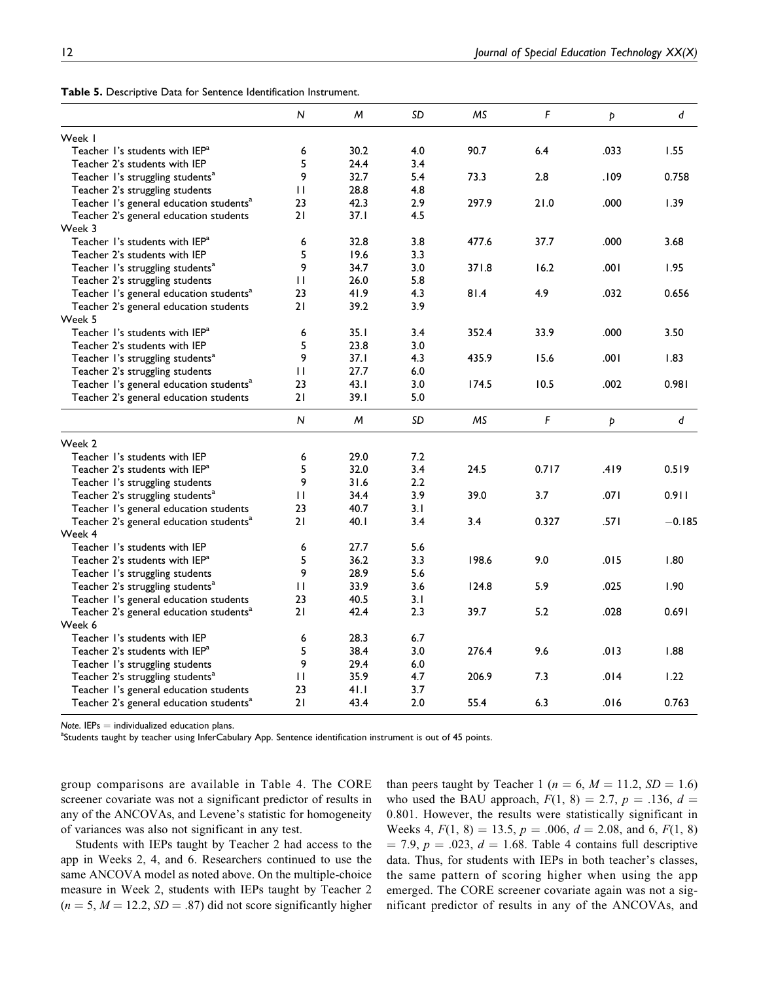Table 5. Descriptive Data for Sentence Identification Instrument.

|                                                     | $\overline{N}$ | M    | SD  | MS        | F                | Þ     | d        |
|-----------------------------------------------------|----------------|------|-----|-----------|------------------|-------|----------|
| Week I                                              |                |      |     |           |                  |       |          |
| Teacher I's students with IEP <sup>a</sup>          | 6              | 30.2 | 4.0 | 90.7      | 6.4              | .033  | 1.55     |
| Teacher 2's students with IEP                       | 5              | 24.4 | 3.4 |           |                  |       |          |
| Teacher I's struggling students <sup>a</sup>        | 9              | 32.7 | 5.4 | 73.3      | 2.8              | .109  | 0.758    |
| Teacher 2's struggling students                     | $\mathbf{H}$   | 28.8 | 4.8 |           |                  |       |          |
| Teacher I's general education students <sup>a</sup> | 23             | 42.3 | 2.9 | 297.9     | 21.0             | .000  | 1.39     |
| Teacher 2's general education students              | 21             | 37.1 | 4.5 |           |                  |       |          |
| Week 3                                              |                |      |     |           |                  |       |          |
| Teacher I's students with IEP <sup>a</sup>          | 6              | 32.8 | 3.8 | 477.6     | 37.7             | .000  | 3.68     |
| Teacher 2's students with IEP                       | 5              | 19.6 | 3.3 |           |                  |       |          |
| Teacher I's struggling students <sup>a</sup>        | 9              | 34.7 | 3.0 | 371.8     | 16.2             | ا 00. | 1.95     |
| Teacher 2's struggling students                     | П              | 26.0 | 5.8 |           |                  |       |          |
| Teacher I's general education students <sup>a</sup> | 23             | 41.9 | 4.3 | 81.4      | 4.9              | .032  | 0.656    |
| Teacher 2's general education students              | 21             | 39.2 | 3.9 |           |                  |       |          |
| Week 5                                              |                |      |     |           |                  |       |          |
| Teacher 1's students with IEP <sup>a</sup>          | 6              | 35.1 | 3.4 | 352.4     | 33.9             | .000  | 3.50     |
| Teacher 2's students with IEP                       | 5              | 23.8 | 3.0 |           |                  |       |          |
| Teacher I's struggling students <sup>a</sup>        | 9              | 37.I | 4.3 | 435.9     | 15.6             | ا 00. | 1.83     |
| Teacher 2's struggling students                     | П              | 27.7 | 6.0 |           |                  |       |          |
| Teacher I's general education students <sup>a</sup> | 23             | 43.I | 3.0 | 174.5     | 10.5             | .002  | 0.981    |
| Teacher 2's general education students              | 21             | 39.1 | 5.0 |           |                  |       |          |
|                                                     | ${\sf N}$      | M    | SD  | <b>MS</b> | $\boldsymbol{F}$ | Þ     | d        |
| Week 2                                              |                |      |     |           |                  |       |          |
| Teacher I's students with IEP                       | 6              | 29.0 | 7.2 |           |                  |       |          |
| Teacher 2's students with IEP <sup>a</sup>          | 5              | 32.0 | 3.4 | 24.5      | 0.717            | .419  | 0.519    |
| Teacher I's struggling students                     | 9              | 31.6 | 2.2 |           |                  |       |          |
| Teacher 2's struggling students <sup>a</sup>        | $\mathbf{H}$   | 34.4 | 3.9 | 39.0      | 3.7              | .071  | 0.911    |
| Teacher I's general education students              | 23             | 40.7 | 3.1 |           |                  |       |          |
| Teacher 2's general education students <sup>a</sup> | 21             | 40.1 | 3.4 | 3.4       | 0.327            | .571  | $-0.185$ |
| Week 4                                              |                |      |     |           |                  |       |          |
| Teacher I's students with IEP                       | 6              | 27.7 | 5.6 |           |                  |       |          |
| Teacher 2's students with IEP <sup>a</sup>          | 5              | 36.2 | 3.3 | 198.6     | 9.0              | .015  | 1.80     |
| Teacher I's struggling students                     | 9              | 28.9 | 5.6 |           |                  |       |          |
| Teacher 2's struggling students <sup>a</sup>        | $\mathbf{H}$   | 33.9 | 3.6 | 124.8     | 5.9              | .025  | 1.90     |
| Teacher I's general education students              | 23             | 40.5 | 3.1 |           |                  |       |          |
| Teacher 2's general education students <sup>a</sup> | 21             | 42.4 | 2.3 | 39.7      | 5.2              | .028  | 0.691    |
| Week 6                                              |                |      |     |           |                  |       |          |
| Teacher I's students with IEP                       | 6              | 28.3 | 6.7 |           |                  |       |          |
| Teacher 2's students with IEP <sup>a</sup>          | 5              | 38.4 | 3.0 | 276.4     | 9.6              | .013  | 1.88     |
| Teacher I's struggling students                     | 9              | 29.4 | 6.0 |           |                  |       |          |
| Teacher 2's struggling students <sup>a</sup>        | $\mathbf{H}$   | 35.9 | 4.7 | 206.9     | 7.3              | .014  | 1.22     |
| Teacher I's general education students              | 23             | 41.I | 3.7 |           |                  |       |          |
| Teacher 2's general education students <sup>a</sup> | 21             | 43.4 | 2.0 | 55.4      | 6.3              | .016  | 0.763    |

Note. IEPs  $=$  individualized education plans.

<sup>a</sup>Students taught by teacher using InferCabulary App. Sentence identification instrument is out of 45 points.

group comparisons are available in Table 4. The CORE screener covariate was not a significant predictor of results in any of the ANCOVAs, and Levene's statistic for homogeneity of variances was also not significant in any test.

Students with IEPs taught by Teacher 2 had access to the app in Weeks 2, 4, and 6. Researchers continued to use the same ANCOVA model as noted above. On the multiple-choice measure in Week 2, students with IEPs taught by Teacher 2  $(n = 5, M = 12.2, SD = .87)$  did not score significantly higher than peers taught by Teacher 1 ( $n = 6$ ,  $M = 11.2$ ,  $SD = 1.6$ ) who used the BAU approach,  $F(1, 8) = 2.7$ ,  $p = .136$ ,  $d =$ 0.801. However, the results were statistically significant in Weeks 4,  $F(1, 8) = 13.5$ ,  $p = .006$ ,  $d = 2.08$ , and 6,  $F(1, 8)$  $= 7.9, p = .023, d = 1.68$ . Table 4 contains full descriptive data. Thus, for students with IEPs in both teacher's classes, the same pattern of scoring higher when using the app emerged. The CORE screener covariate again was not a significant predictor of results in any of the ANCOVAs, and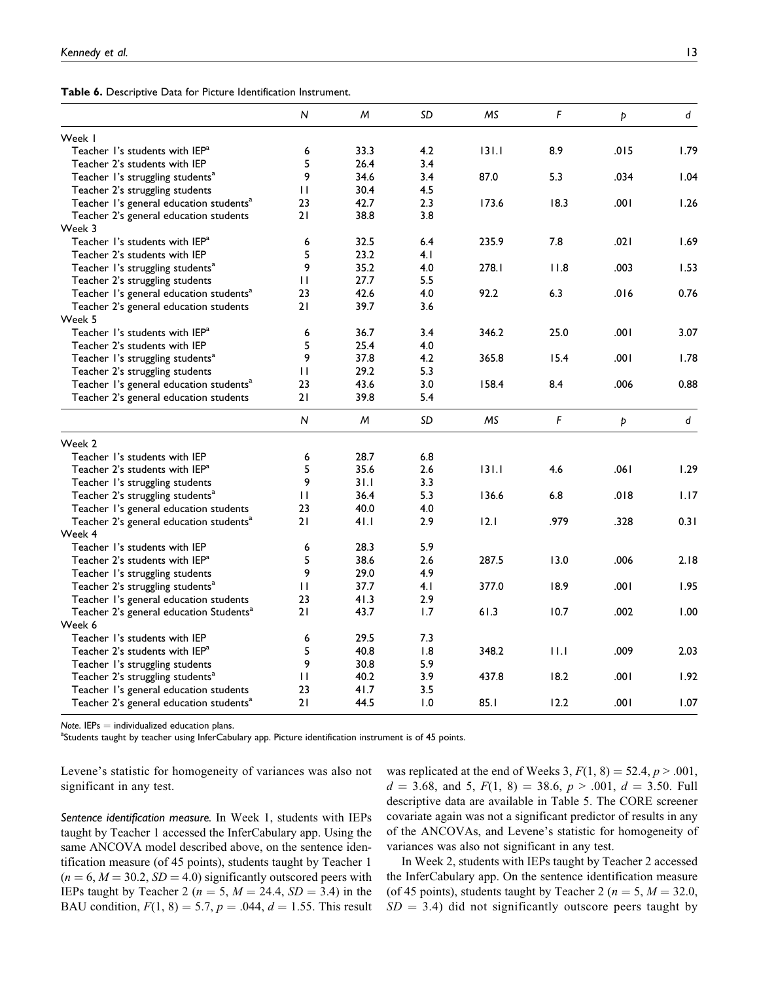|                                                     | N              | M    | SD  | MS        | F    | Þ    | d    |
|-----------------------------------------------------|----------------|------|-----|-----------|------|------|------|
| Week I                                              |                |      |     |           |      |      |      |
| Teacher I's students with IEP <sup>a</sup>          | 6              | 33.3 | 4.2 | 131.1     | 8.9  | .015 | 1.79 |
| Teacher 2's students with IEP                       | 5              | 26.4 | 3.4 |           |      |      |      |
| Teacher I's struggling students <sup>a</sup>        | 9              | 34.6 | 3.4 | 87.0      | 5.3  | .034 | 1.04 |
| Teacher 2's struggling students                     | $\mathbf{H}$   | 30.4 | 4.5 |           |      |      |      |
| Teacher I's general education students <sup>a</sup> | 23             | 42.7 | 2.3 | 173.6     | 18.3 | .001 | 1.26 |
| Teacher 2's general education students              | 21             | 38.8 | 3.8 |           |      |      |      |
| Week 3                                              |                |      |     |           |      |      |      |
| Teacher I's students with IEP <sup>a</sup>          | 6              | 32.5 | 6.4 | 235.9     | 7.8  | .021 | 1.69 |
| Teacher 2's students with IEP                       | 5              | 23.2 | 4.1 |           |      |      |      |
| Teacher I's struggling students <sup>a</sup>        | 9              | 35.2 | 4.0 | 278.I     | 11.8 | .003 | 1.53 |
| Teacher 2's struggling students                     | $\mathbf{L}$   | 27.7 | 5.5 |           |      |      |      |
| Teacher I's general education students <sup>a</sup> | 23             | 42.6 | 4.0 | 92.2      | 6.3  | .016 | 0.76 |
| Teacher 2's general education students              | 21             | 39.7 | 3.6 |           |      |      |      |
| Week 5                                              |                |      |     |           |      |      |      |
| Teacher I's students with IEP <sup>a</sup>          | 6              | 36.7 | 3.4 | 346.2     | 25.0 | .001 | 3.07 |
| Teacher 2's students with IEP                       | 5              | 25.4 | 4.0 |           |      |      |      |
| Teacher I's struggling students <sup>a</sup>        | 9              | 37.8 | 4.2 | 365.8     | 15.4 | .001 | 1.78 |
| Teacher 2's struggling students                     | $\mathbf{H}$   | 29.2 | 5.3 |           |      |      |      |
| Teacher I's general education students <sup>a</sup> | 23             | 43.6 | 3.0 | 158.4     | 8.4  | .006 | 0.88 |
| Teacher 2's general education students              | 21             | 39.8 | 5.4 |           |      |      |      |
|                                                     | $\overline{N}$ | м    | SD  | <b>MS</b> | F    | Þ    | d    |
| Week 2                                              |                |      |     |           |      |      |      |
| Teacher I's students with IEP                       | 6              | 28.7 | 6.8 |           |      |      |      |
| Teacher 2's students with IEP <sup>a</sup>          | 5              | 35.6 | 2.6 | 131.1     | 4.6  | .061 | 1.29 |
| Teacher I's struggling students                     | 9              | 31.1 | 3.3 |           |      |      |      |
| Teacher 2's struggling students <sup>a</sup>        | $\mathbf{H}$   | 36.4 | 5.3 | 136.6     | 6.8  | .018 | 1.17 |
| Teacher I's general education students              | 23             | 40.0 | 4.0 |           |      |      |      |
| Teacher 2's general education students <sup>a</sup> | 21             | 41.1 | 2.9 | 12.1      | .979 | .328 | 0.31 |
| Week 4                                              |                |      |     |           |      |      |      |
| Teacher I's students with IEP                       | 6              | 28.3 | 5.9 |           |      |      |      |
| Teacher 2's students with IEP <sup>a</sup>          | 5              | 38.6 | 2.6 | 287.5     | 13.0 | .006 | 2.18 |
| Teacher I's struggling students                     | 9              | 29.0 | 4.9 |           |      |      |      |
| Teacher 2's struggling students <sup>a</sup>        | $\mathbf{H}$   | 37.7 | 4.1 | 377.0     | 18.9 | .001 | 1.95 |
| Teacher I's general education students              | 23             | 41.3 | 2.9 |           |      |      |      |
| Teacher 2's general education Students <sup>a</sup> | 21             | 43.7 | 1.7 | 61.3      | 10.7 | .002 | 1.00 |
| Week 6                                              |                |      |     |           |      |      |      |
| Teacher I's students with IEP                       | 6              | 29.5 | 7.3 |           |      |      |      |
| Teacher 2's students with IEP <sup>a</sup>          | 5              | 40.8 | 1.8 | 348.2     | 11.1 | .009 | 2.03 |
| Teacher I's struggling students                     | 9              | 30.8 | 5.9 |           |      |      |      |
| Teacher 2's struggling students <sup>a</sup>        | $\mathbf{H}$   | 40.2 | 3.9 | 437.8     | 18.2 | .001 | 1.92 |
| Teacher I's general education students              | 23             | 41.7 | 3.5 |           |      |      |      |
| Teacher 2's general education students <sup>a</sup> | 21             | 44.5 | 1.0 | 85.1      | 12.2 | .001 | 1.07 |

Note.  $IEPs = individualized education plans.$ 

<sup>a</sup>Students taught by teacher using InferCabulary app. Picture identification instrument is of 45 points.

Levene's statistic for homogeneity of variances was also not significant in any test.

Sentence identification measure. In Week 1, students with IEPs taught by Teacher 1 accessed the InferCabulary app. Using the same ANCOVA model described above, on the sentence identification measure (of 45 points), students taught by Teacher 1  $(n = 6, M = 30.2, SD = 4.0)$  significantly outscored peers with IEPs taught by Teacher 2 ( $n = 5$ ,  $M = 24.4$ ,  $SD = 3.4$ ) in the BAU condition,  $F(1, 8) = 5.7$ ,  $p = .044$ ,  $d = 1.55$ . This result was replicated at the end of Weeks 3,  $F(1, 8) = 52.4, p > .001$ ,  $d = 3.68$ , and 5,  $F(1, 8) = 38.6, p > .001, d = 3.50$ . Full descriptive data are available in Table 5. The CORE screener covariate again was not a significant predictor of results in any of the ANCOVAs, and Levene's statistic for homogeneity of variances was also not significant in any test.

In Week 2, students with IEPs taught by Teacher 2 accessed the InferCabulary app. On the sentence identification measure (of 45 points), students taught by Teacher 2 ( $n = 5$ ,  $M = 32.0$ ,  $SD = 3.4$ ) did not significantly outscore peers taught by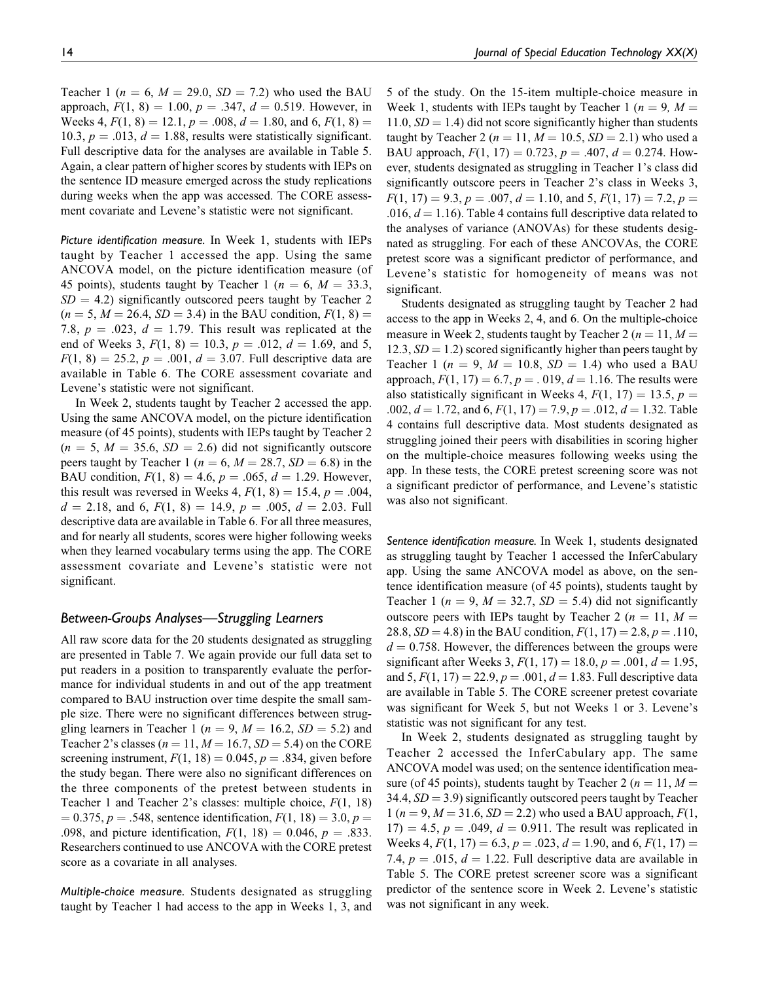Teacher 1 ( $n = 6$ ,  $M = 29.0$ ,  $SD = 7.2$ ) who used the BAU approach,  $F(1, 8) = 1.00$ ,  $p = .347$ ,  $d = 0.519$ . However, in Weeks 4,  $F(1, 8) = 12.1, p = .008, d = 1.80,$  and 6,  $F(1, 8) =$ 10.3,  $p = .013$ ,  $d = 1.88$ , results were statistically significant. Full descriptive data for the analyses are available in Table 5. Again, a clear pattern of higher scores by students with IEPs on the sentence ID measure emerged across the study replications during weeks when the app was accessed. The CORE assessment covariate and Levene's statistic were not significant.

Picture identification measure. In Week 1, students with IEPs taught by Teacher 1 accessed the app. Using the same ANCOVA model, on the picture identification measure (of 45 points), students taught by Teacher 1 ( $n = 6$ ,  $M = 33.3$ ,  $SD = 4.2$ ) significantly outscored peers taught by Teacher 2  $(n = 5, M = 26.4, SD = 3.4)$  in the BAU condition,  $F(1, 8) =$ 7.8,  $p = .023$ ,  $d = 1.79$ . This result was replicated at the end of Weeks 3,  $F(1, 8) = 10.3$ ,  $p = .012$ ,  $d = 1.69$ , and 5,  $F(1, 8) = 25.2, p = .001, d = 3.07$ . Full descriptive data are available in Table 6. The CORE assessment covariate and Levene's statistic were not significant.

In Week 2, students taught by Teacher 2 accessed the app. Using the same ANCOVA model, on the picture identification measure (of 45 points), students with IEPs taught by Teacher 2  $(n = 5, M = 35.6, SD = 2.6)$  did not significantly outscore peers taught by Teacher 1 ( $n = 6$ ,  $M = 28.7$ ,  $SD = 6.8$ ) in the BAU condition,  $F(1, 8) = 4.6$ ,  $p = .065$ ,  $d = 1.29$ . However, this result was reversed in Weeks 4,  $F(1, 8) = 15.4$ ,  $p = .004$ ,  $d = 2.18$ , and 6,  $F(1, 8) = 14.9$ ,  $p = .005$ ,  $d = 2.03$ . Full descriptive data are available in Table 6. For all three measures, and for nearly all students, scores were higher following weeks when they learned vocabulary terms using the app. The CORE assessment covariate and Levene's statistic were not significant.

#### Between-Groups Analyses—Struggling Learners

All raw score data for the 20 students designated as struggling are presented in Table 7. We again provide our full data set to put readers in a position to transparently evaluate the performance for individual students in and out of the app treatment compared to BAU instruction over time despite the small sample size. There were no significant differences between struggling learners in Teacher 1 ( $n = 9$ ,  $M = 16.2$ ,  $SD = 5.2$ ) and Teacher 2's classes ( $n = 11$ ,  $M = 16.7$ ,  $SD = 5.4$ ) on the CORE screening instrument,  $F(1, 18) = 0.045$ ,  $p = .834$ , given before the study began. There were also no significant differences on the three components of the pretest between students in Teacher 1 and Teacher 2's classes: multiple choice,  $F(1, 18)$  $= 0.375, p = .548$ , sentence identification,  $F(1, 18) = 3.0, p =$ .098, and picture identification,  $F(1, 18) = 0.046$ ,  $p = .833$ . Researchers continued to use ANCOVA with the CORE pretest score as a covariate in all analyses.

Multiple-choice measure. Students designated as struggling taught by Teacher 1 had access to the app in Weeks 1, 3, and 5 of the study. On the 15-item multiple-choice measure in Week 1, students with IEPs taught by Teacher 1 ( $n = 9$ ,  $M =$ 11.0,  $SD = 1.4$ ) did not score significantly higher than students taught by Teacher 2 ( $n = 11$ ,  $M = 10.5$ ,  $SD = 2.1$ ) who used a BAU approach,  $F(1, 17) = 0.723$ ,  $p = .407$ ,  $d = 0.274$ . However, students designated as struggling in Teacher 1's class did significantly outscore peers in Teacher 2's class in Weeks 3,  $F(1, 17) = 9.3, p = .007, d = 1.10, \text{ and } 5, F(1, 17) = 7.2, p =$ .016,  $d = 1.16$ ). Table 4 contains full descriptive data related to the analyses of variance (ANOVAs) for these students designated as struggling. For each of these ANCOVAs, the CORE pretest score was a significant predictor of performance, and Levene's statistic for homogeneity of means was not significant.

Students designated as struggling taught by Teacher 2 had access to the app in Weeks 2, 4, and 6. On the multiple-choice measure in Week 2, students taught by Teacher 2 ( $n = 11, M =$ 12.3,  $SD = 1.2$ ) scored significantly higher than peers taught by Teacher 1 ( $n = 9$ ,  $M = 10.8$ ,  $SD = 1.4$ ) who used a BAU approach,  $F(1, 17) = 6.7, p = .019, d = 1.16$ . The results were also statistically significant in Weeks 4,  $F(1, 17) = 13.5, p =$ .002,  $d = 1.72$ , and 6,  $F(1, 17) = 7.9$ ,  $p = .012$ ,  $d = 1.32$ . Table 4 contains full descriptive data. Most students designated as struggling joined their peers with disabilities in scoring higher on the multiple-choice measures following weeks using the app. In these tests, the CORE pretest screening score was not a significant predictor of performance, and Levene's statistic was also not significant.

Sentence identification measure. In Week 1, students designated as struggling taught by Teacher 1 accessed the InferCabulary app. Using the same ANCOVA model as above, on the sentence identification measure (of 45 points), students taught by Teacher 1 ( $n = 9$ ,  $M = 32.7$ ,  $SD = 5.4$ ) did not significantly outscore peers with IEPs taught by Teacher 2 ( $n = 11, M =$ 28.8,  $SD = 4.8$ ) in the BAU condition,  $F(1, 17) = 2.8$ ,  $p = .110$ ,  $d = 0.758$ . However, the differences between the groups were significant after Weeks 3,  $F(1, 17) = 18.0, p = .001, d = 1.95,$ and  $5, F(1, 17) = 22.9, p = .001, d = 1.83$ . Full descriptive data are available in Table 5. The CORE screener pretest covariate was significant for Week 5, but not Weeks 1 or 3. Levene's statistic was not significant for any test.

In Week 2, students designated as struggling taught by Teacher 2 accessed the InferCabulary app. The same ANCOVA model was used; on the sentence identification measure (of 45 points), students taught by Teacher 2 ( $n = 11, M =$ 34.4,  $SD = 3.9$ ) significantly outscored peers taught by Teacher  $1 (n = 9, M = 31.6, SD = 2.2)$  who used a BAU approach,  $F(1,$  $17) = 4.5, p = .049, d = 0.911$ . The result was replicated in Weeks 4,  $F(1, 17) = 6.3$ ,  $p = .023$ ,  $d = 1.90$ , and  $6, F(1, 17) =$ 7.4,  $p = .015$ ,  $d = 1.22$ . Full descriptive data are available in Table 5. The CORE pretest screener score was a significant predictor of the sentence score in Week 2. Levene's statistic was not significant in any week.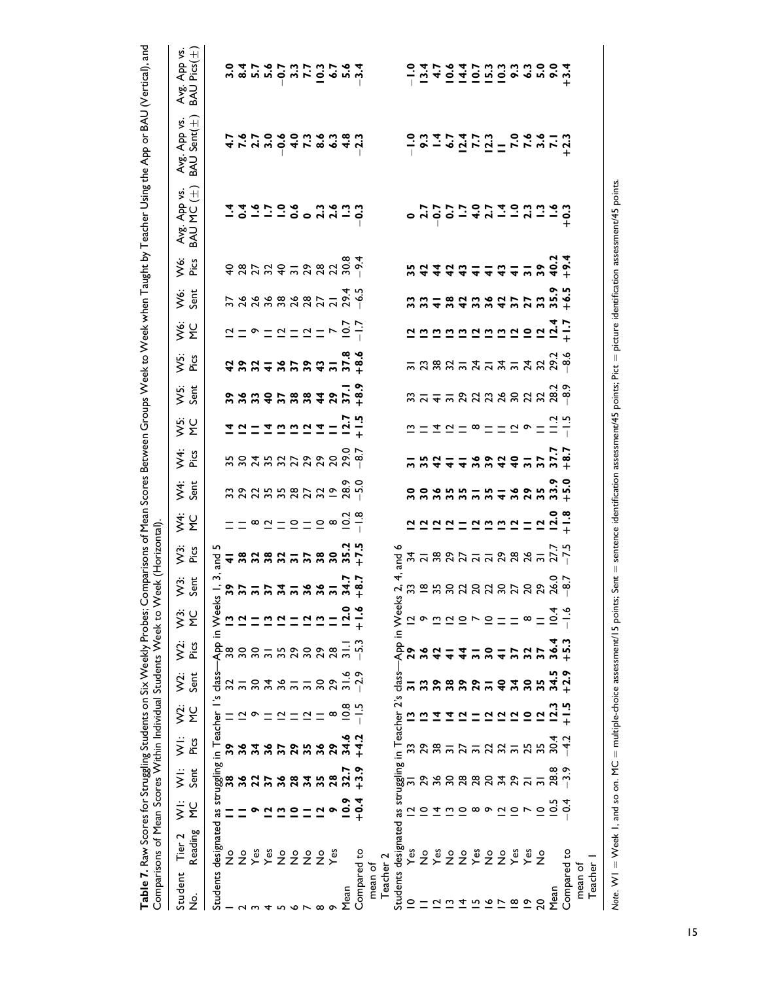| Comparisons of Mean Scores Within Individual |                                                                                                                                                     |                                                                                                                                                                                |                                                                                                 |                                        |                                                                                                                                            |                                                                                 |                                                               |                                                                                                       |                  |                                                                                                  |             |                                                                                        |                                                                                                                                                                                                                                        |             |                                          |                                                                |                                     |                                                |                                                                                                                                                                                                                                                                                                           |
|----------------------------------------------|-----------------------------------------------------------------------------------------------------------------------------------------------------|--------------------------------------------------------------------------------------------------------------------------------------------------------------------------------|-------------------------------------------------------------------------------------------------|----------------------------------------|--------------------------------------------------------------------------------------------------------------------------------------------|---------------------------------------------------------------------------------|---------------------------------------------------------------|-------------------------------------------------------------------------------------------------------|------------------|--------------------------------------------------------------------------------------------------|-------------|----------------------------------------------------------------------------------------|----------------------------------------------------------------------------------------------------------------------------------------------------------------------------------------------------------------------------------------|-------------|------------------------------------------|----------------------------------------------------------------|-------------------------------------|------------------------------------------------|-----------------------------------------------------------------------------------------------------------------------------------------------------------------------------------------------------------------------------------------------------------------------------------------------------------|
|                                              | $\frac{1}{2}$                                                                                                                                       | $\frac{1}{2}$                                                                                                                                                                  | Š.                                                                                              | Ż.                                     | Ż:                                                                                                                                         | $\sum_{i=1}^{n}$                                                                |                                                               |                                                                                                       |                  |                                                                                                  |             |                                                                                        |                                                                                                                                                                                                                                        |             |                                          |                                                                |                                     |                                                | Avg. App vs.<br>BAU Pics(±)                                                                                                                                                                                                                                                                               |
|                                              |                                                                                                                                                     |                                                                                                                                                                                |                                                                                                 |                                        |                                                                                                                                            |                                                                                 |                                                               |                                                                                                       |                  |                                                                                                  |             |                                                                                        |                                                                                                                                                                                                                                        |             |                                          |                                                                |                                     |                                                |                                                                                                                                                                                                                                                                                                           |
| Se                                           |                                                                                                                                                     |                                                                                                                                                                                |                                                                                                 | class-                                 |                                                                                                                                            |                                                                                 |                                                               |                                                                                                       |                  |                                                                                                  |             |                                                                                        |                                                                                                                                                                                                                                        |             |                                          |                                                                |                                     |                                                |                                                                                                                                                                                                                                                                                                           |
|                                              |                                                                                                                                                     | 39                                                                                                                                                                             |                                                                                                 |                                        |                                                                                                                                            |                                                                                 |                                                               |                                                                                                       |                  |                                                                                                  |             |                                                                                        |                                                                                                                                                                                                                                        |             |                                          |                                                                |                                     |                                                |                                                                                                                                                                                                                                                                                                           |
|                                              | 36                                                                                                                                                  | 36                                                                                                                                                                             |                                                                                                 |                                        | $\overline{\mathbf{50}}$                                                                                                                   |                                                                                 |                                                               |                                                                                                       |                  |                                                                                                  |             |                                                                                        |                                                                                                                                                                                                                                        |             |                                          |                                                                |                                     |                                                |                                                                                                                                                                                                                                                                                                           |
|                                              |                                                                                                                                                     |                                                                                                                                                                                |                                                                                                 |                                        | $\overline{5}$                                                                                                                             |                                                                                 |                                                               |                                                                                                       |                  |                                                                                                  |             |                                                                                        |                                                                                                                                                                                                                                        |             |                                          |                                                                |                                     |                                                |                                                                                                                                                                                                                                                                                                           |
|                                              |                                                                                                                                                     |                                                                                                                                                                                |                                                                                                 |                                        | $\overline{5}$                                                                                                                             |                                                                                 |                                                               |                                                                                                       |                  |                                                                                                  |             |                                                                                        |                                                                                                                                                                                                                                        |             |                                          |                                                                |                                     |                                                |                                                                                                                                                                                                                                                                                                           |
|                                              |                                                                                                                                                     |                                                                                                                                                                                | $\bar{\mathbf{c}}$                                                                              |                                        | 35                                                                                                                                         |                                                                                 |                                                               |                                                                                                       |                  |                                                                                                  |             |                                                                                        |                                                                                                                                                                                                                                        |             |                                          |                                                                |                                     |                                                |                                                                                                                                                                                                                                                                                                           |
|                                              |                                                                                                                                                     | 29                                                                                                                                                                             |                                                                                                 |                                        | 29                                                                                                                                         |                                                                                 |                                                               |                                                                                                       |                  |                                                                                                  |             |                                                                                        |                                                                                                                                                                                                                                        |             |                                          |                                                                |                                     |                                                |                                                                                                                                                                                                                                                                                                           |
|                                              | $\frac{1}{2}$                                                                                                                                       | 35                                                                                                                                                                             | $\overline{\mathsf{c}}$                                                                         |                                        | 30                                                                                                                                         |                                                                                 |                                                               |                                                                                                       |                  |                                                                                                  |             |                                                                                        |                                                                                                                                                                                                                                        |             |                                          |                                                                |                                     |                                                |                                                                                                                                                                                                                                                                                                           |
| N                                            | 35                                                                                                                                                  | 36                                                                                                                                                                             |                                                                                                 | $\boldsymbol{50}$                      | 29                                                                                                                                         |                                                                                 |                                                               |                                                                                                       |                  |                                                                                                  |             |                                                                                        |                                                                                                                                                                                                                                        |             |                                          |                                                                |                                     |                                                |                                                                                                                                                                                                                                                                                                           |
| $\bullet$                                    | 28                                                                                                                                                  | 29                                                                                                                                                                             | $\infty$                                                                                        | 29                                     | 28                                                                                                                                         |                                                                                 |                                                               |                                                                                                       |                  |                                                                                                  |             |                                                                                        |                                                                                                                                                                                                                                        |             |                                          |                                                                |                                     |                                                |                                                                                                                                                                                                                                                                                                           |
|                                              |                                                                                                                                                     | 34.6                                                                                                                                                                           |                                                                                                 | 31.6                                   |                                                                                                                                            |                                                                                 |                                                               |                                                                                                       |                  |                                                                                                  |             |                                                                                        |                                                                                                                                                                                                                                        |             |                                          |                                                                |                                     |                                                |                                                                                                                                                                                                                                                                                                           |
|                                              | $+3.9$                                                                                                                                              | $\vec{r}$                                                                                                                                                                      |                                                                                                 | $\vec{r}$                              | $\ddot{5}$                                                                                                                                 |                                                                                 |                                                               |                                                                                                       |                  |                                                                                                  |             |                                                                                        |                                                                                                                                                                                                                                        |             |                                          |                                                                |                                     |                                                |                                                                                                                                                                                                                                                                                                           |
|                                              |                                                                                                                                                     |                                                                                                                                                                                |                                                                                                 |                                        |                                                                                                                                            |                                                                                 |                                                               |                                                                                                       |                  |                                                                                                  |             |                                                                                        |                                                                                                                                                                                                                                        |             |                                          |                                                                |                                     |                                                |                                                                                                                                                                                                                                                                                                           |
|                                              |                                                                                                                                                     |                                                                                                                                                                                |                                                                                                 |                                        |                                                                                                                                            |                                                                                 |                                                               |                                                                                                       |                  |                                                                                                  |             |                                                                                        |                                                                                                                                                                                                                                        |             |                                          |                                                                |                                     |                                                |                                                                                                                                                                                                                                                                                                           |
|                                              |                                                                                                                                                     |                                                                                                                                                                                |                                                                                                 | class-                                 |                                                                                                                                            |                                                                                 |                                                               |                                                                                                       |                  |                                                                                                  |             |                                                                                        |                                                                                                                                                                                                                                        |             |                                          |                                                                |                                     |                                                |                                                                                                                                                                                                                                                                                                           |
|                                              |                                                                                                                                                     | 33                                                                                                                                                                             | m                                                                                               |                                        | 29                                                                                                                                         |                                                                                 |                                                               |                                                                                                       |                  |                                                                                                  |             |                                                                                        |                                                                                                                                                                                                                                        |             |                                          |                                                                |                                     |                                                |                                                                                                                                                                                                                                                                                                           |
|                                              |                                                                                                                                                     | 29                                                                                                                                                                             |                                                                                                 |                                        | 36                                                                                                                                         |                                                                                 |                                                               |                                                                                                       |                  |                                                                                                  |             |                                                                                        |                                                                                                                                                                                                                                        |             |                                          |                                                                |                                     |                                                |                                                                                                                                                                                                                                                                                                           |
|                                              |                                                                                                                                                     |                                                                                                                                                                                | ◥                                                                                               | m                                      | $\boldsymbol{4}$                                                                                                                           |                                                                                 |                                                               |                                                                                                       |                  |                                                                                                  |             |                                                                                        |                                                                                                                                                                                                                                        |             |                                          |                                                                |                                     |                                                |                                                                                                                                                                                                                                                                                                           |
|                                              |                                                                                                                                                     | $\overline{m}$                                                                                                                                                                 | ◥                                                                                               | 38                                     | ╤                                                                                                                                          |                                                                                 |                                                               |                                                                                                       |                  |                                                                                                  |             |                                                                                        |                                                                                                                                                                                                                                        |             |                                          |                                                                |                                     |                                                |                                                                                                                                                                                                                                                                                                           |
|                                              |                                                                                                                                                     | 27                                                                                                                                                                             |                                                                                                 | $\overline{3}$                         | इ                                                                                                                                          |                                                                                 |                                                               |                                                                                                       |                  |                                                                                                  |             |                                                                                        |                                                                                                                                                                                                                                        |             |                                          |                                                                |                                     |                                                | $\frac{1}{2}$ = $\frac{1}{4}$ = $\frac{1}{4}$ = $\frac{1}{4}$ = $\frac{1}{4}$ = $\frac{1}{4}$ = $\frac{1}{4}$ = $\frac{1}{4}$ = $\frac{1}{4}$ = $\frac{1}{4}$ = $\frac{1}{4}$ = $\frac{1}{4}$ = $\frac{1}{4}$ = $\frac{1}{4}$ = $\frac{1}{4}$ = $\frac{1}{4}$ = $\frac{1}{4}$ = $\frac{1}{4}$ = $\frac{1$ |
|                                              |                                                                                                                                                     |                                                                                                                                                                                |                                                                                                 | 29                                     |                                                                                                                                            |                                                                                 |                                                               |                                                                                                       |                  |                                                                                                  |             |                                                                                        |                                                                                                                                                                                                                                        |             |                                          |                                                                |                                     |                                                |                                                                                                                                                                                                                                                                                                           |
|                                              |                                                                                                                                                     |                                                                                                                                                                                |                                                                                                 |                                        |                                                                                                                                            | 0                                                                               |                                                               |                                                                                                       |                  |                                                                                                  |             |                                                                                        |                                                                                                                                                                                                                                        |             |                                          |                                                                |                                     |                                                |                                                                                                                                                                                                                                                                                                           |
|                                              |                                                                                                                                                     |                                                                                                                                                                                |                                                                                                 | $\mathbf{e}$                           | ₹                                                                                                                                          |                                                                                 |                                                               |                                                                                                       |                  |                                                                                                  |             |                                                                                        |                                                                                                                                                                                                                                        |             |                                          |                                                                |                                     |                                                |                                                                                                                                                                                                                                                                                                           |
|                                              |                                                                                                                                                     | $\overline{ }$                                                                                                                                                                 |                                                                                                 | m                                      | 22                                                                                                                                         |                                                                                 |                                                               |                                                                                                       |                  |                                                                                                  |             |                                                                                        |                                                                                                                                                                                                                                        |             |                                          |                                                                |                                     |                                                |                                                                                                                                                                                                                                                                                                           |
|                                              |                                                                                                                                                     | 25                                                                                                                                                                             | $\mathbf{P}$                                                                                    | 0<br>m                                 | 32                                                                                                                                         | ∞                                                                               |                                                               |                                                                                                       |                  |                                                                                                  |             |                                                                                        |                                                                                                                                                                                                                                        |             |                                          |                                                                |                                     |                                                |                                                                                                                                                                                                                                                                                                           |
| $\circ$                                      |                                                                                                                                                     |                                                                                                                                                                                |                                                                                                 | LO <sub>1</sub><br>m                   | 57                                                                                                                                         |                                                                                 |                                                               |                                                                                                       |                  |                                                                                                  |             |                                                                                        |                                                                                                                                                                                                                                        |             |                                          |                                                                |                                     |                                                |                                                                                                                                                                                                                                                                                                           |
|                                              | 28.                                                                                                                                                 | 4<br>ă.                                                                                                                                                                        |                                                                                                 | <u>Ln</u><br>m                         |                                                                                                                                            | $\frac{4}{10}$                                                                  |                                                               |                                                                                                       |                  |                                                                                                  |             |                                                                                        |                                                                                                                                                                                                                                        |             |                                          |                                                                |                                     |                                                |                                                                                                                                                                                                                                                                                                           |
|                                              |                                                                                                                                                     | ヸ                                                                                                                                                                              |                                                                                                 | ۰<br>N                                 |                                                                                                                                            |                                                                                 |                                                               |                                                                                                       |                  |                                                                                                  |             |                                                                                        |                                                                                                                                                                                                                                        |             |                                          |                                                                |                                     |                                                |                                                                                                                                                                                                                                                                                                           |
|                                              |                                                                                                                                                     |                                                                                                                                                                                |                                                                                                 |                                        |                                                                                                                                            |                                                                                 |                                                               |                                                                                                       |                  |                                                                                                  |             |                                                                                        |                                                                                                                                                                                                                                        |             |                                          |                                                                |                                     |                                                |                                                                                                                                                                                                                                                                                                           |
|                                              |                                                                                                                                                     |                                                                                                                                                                                |                                                                                                 |                                        |                                                                                                                                            |                                                                                 |                                                               |                                                                                                       |                  |                                                                                                  |             |                                                                                        |                                                                                                                                                                                                                                        |             |                                          |                                                                |                                     |                                                |                                                                                                                                                                                                                                                                                                           |
|                                              |                                                                                                                                                     |                                                                                                                                                                                |                                                                                                 |                                        |                                                                                                                                            |                                                                                 |                                                               |                                                                                                       |                  |                                                                                                  |             |                                                                                        |                                                                                                                                                                                                                                        |             |                                          |                                                                |                                     |                                                |                                                                                                                                                                                                                                                                                                           |
|                                              | Ο<br>Σ<br>$\sim$ $\sim$<br>$\infty$<br>$\sim$ $\sim$<br><b>NWO</b><br>N O<br>4<br>designated<br>Students designated<br>Reading<br>Tier <sub>2</sub> | 32.7<br>∞ ი<br>Sent<br><b>28</b> 28<br>$\overline{5}$ $\overline{2}$<br>36<br>2727<br>36<br>28<br>$27 \over 37$<br>0.9<br>$+0.4$<br>$\ddot{\bar{z}}$<br>10.5<br>$\overline{5}$ | Pics<br>34<br>38<br>57<br>$\overline{2}$<br>32<br>$\overline{m}$<br>as struggling<br>struggling | 12.3<br>10.8<br>ă<br>in Teacher<br>പ പ | Sent<br>$\vec{r}$<br>36<br>$\frac{2}{2}$<br>ສ<br>74<br>$\overline{r}$<br>$\overline{m}$<br>$\overline{r}$<br>in Teacher 2's<br>$\tilde{ }$ | 36.4<br>$\overline{AP}$<br>្ល<br>န္နီနွ<br>Pics<br>$\overline{\mathbf{5}}$<br>్ | Σ<br>ہ ہ<br>$\sim$ $\sim$<br>m<br>$\overline{ }$<br>⊇.َ<br>≘. | y3:<br>Sent<br>Note. $WI = Week I$ , and so on. $MC = multiple-choice$ assessment/15 points;<br>Weeks | $\sum_{i=1}^{n}$ | $=$ $=$ $\infty$ $\le$ $=$ $\infty$ $=$ $\infty$ $\infty$ $\frac{3}{2}$ $\frac{3}{2}$<br>ΨË<br>Σ | V4:<br>Sent | 5024525282827<br>- 1214 - 1225 - 1235<br>- 1214 - 1226 - 1235<br>- 1225<br>y4:<br>Pics | $22.79$ $23.79$ $25.79$ $25.79$ $25.79$ $25.79$ $25.79$ $25.79$ $25.79$ $25.79$ $25.79$ $25.79$ $25.79$ $25.79$ $25.79$ $25.79$ $25.79$ $25.79$ $25.79$ $25.79$ $25.79$ $25.79$ $25.79$ $25.79$ $25.79$ $25.79$ $25.79$ $25.7$<br>Ϋ́S: | V5:<br>Sent | \$<br>\$YL\$Y&\$P\$\$\$\$<br>y5:<br>Pics | 11<br> -<br> 112001112121212<br>$2 = 0 = 2 = 2 = 0$<br>ψά<br>Σ | V <sup>6</sup><br>Sent<br>$3.3 + 4$ | トロートーロロエスーロートリートリック<br>V <sup>6:</sup><br>Pics | Avg. App vs.<br>BAU Sent(±)<br>Sent $=$ sentence identification assessment/45 points; Pict $=$ picture identification assessment/45 points.<br>Avg. App vs.<br>BAU MC $(\pm)$                                                                                                                             |

15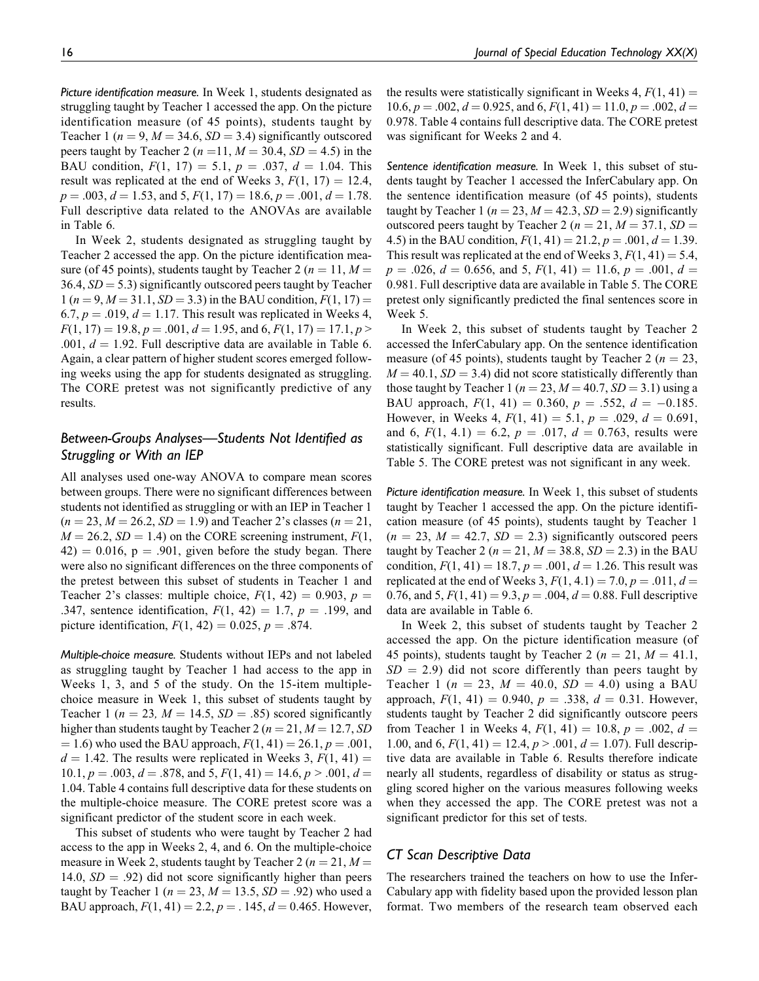Picture identification measure. In Week 1, students designated as struggling taught by Teacher 1 accessed the app. On the picture identification measure (of 45 points), students taught by Teacher 1 ( $n = 9$ ,  $M = 34.6$ ,  $SD = 3.4$ ) significantly outscored peers taught by Teacher 2 ( $n = 11$ ,  $M = 30.4$ ,  $SD = 4.5$ ) in the BAU condition,  $F(1, 17) = 5.1$ ,  $p = .037$ ,  $d = 1.04$ . This result was replicated at the end of Weeks 3,  $F(1, 17) = 12.4$ ,  $p = .003, d = 1.53,$  and  $5, F(1, 17) = 18.6, p = .001, d = 1.78.$ Full descriptive data related to the ANOVAs are available in Table 6.

In Week 2, students designated as struggling taught by Teacher 2 accessed the app. On the picture identification measure (of 45 points), students taught by Teacher 2 ( $n = 11, M =$  $36.4$ ,  $SD = 5.3$ ) significantly outscored peers taught by Teacher  $1 (n = 9, M = 31.1, SD = 3.3)$  in the BAU condition,  $F(1, 17) =$ 6.7,  $p = .019$ ,  $d = 1.17$ . This result was replicated in Weeks 4,  $F(1, 17) = 19.8, p = .001, d = 1.95, \text{ and } 6, F(1, 17) = 17.1, p >$ .001,  $d = 1.92$ . Full descriptive data are available in Table 6. Again, a clear pattern of higher student scores emerged following weeks using the app for students designated as struggling. The CORE pretest was not significantly predictive of any results.

# Between-Groups Analyses—Students Not Identified as Struggling or With an IEP

All analyses used one-way ANOVA to compare mean scores between groups. There were no significant differences between students not identified as struggling or with an IEP in Teacher 1  $(n = 23, M = 26.2, SD = 1.9)$  and Teacher 2's classes  $(n = 21,$  $M = 26.2$ ,  $SD = 1.4$ ) on the CORE screening instrument,  $F(1, 1)$  $42$ ) = 0.016, p = .901, given before the study began. There were also no significant differences on the three components of the pretest between this subset of students in Teacher 1 and Teacher 2's classes: multiple choice,  $F(1, 42) = 0.903$ ,  $p =$ .347, sentence identification,  $F(1, 42) = 1.7$ ,  $p = .199$ , and picture identification,  $F(1, 42) = 0.025$ ,  $p = .874$ .

Multiple-choice measure. Students without IEPs and not labeled as struggling taught by Teacher 1 had access to the app in Weeks 1, 3, and 5 of the study. On the 15-item multiplechoice measure in Week 1, this subset of students taught by Teacher 1 ( $n = 23$ ,  $M = 14.5$ ,  $SD = .85$ ) scored significantly higher than students taught by Teacher 2 ( $n = 21, M = 12.7, SD$  $= 1.6$ ) who used the BAU approach,  $F(1, 41) = 26.1, p = .001$ ,  $d = 1.42$ . The results were replicated in Weeks 3,  $F(1, 41) =$ 10.1,  $p = .003$ ,  $d = .878$ , and 5,  $F(1, 41) = 14.6$ ,  $p > .001$ ,  $d =$ 1.04. Table 4 contains full descriptive data for these students on the multiple-choice measure. The CORE pretest score was a significant predictor of the student score in each week.

This subset of students who were taught by Teacher 2 had access to the app in Weeks 2, 4, and 6. On the multiple-choice measure in Week 2, students taught by Teacher 2 ( $n = 21, M =$ 14.0,  $SD = .92$ ) did not score significantly higher than peers taught by Teacher 1 ( $n = 23$ ,  $M = 13.5$ ,  $SD = .92$ ) who used a BAU approach,  $F(1, 41) = 2.2, p = 0.145, d = 0.465$ . However, the results were statistically significant in Weeks 4,  $F(1, 41) =$  $10.6, p = .002, d = 0.925, and 6, F(1, 41) = 11.0, p = .002, d =$ 0.978. Table 4 contains full descriptive data. The CORE pretest was significant for Weeks 2 and 4.

Sentence identification measure. In Week 1, this subset of students taught by Teacher 1 accessed the InferCabulary app. On the sentence identification measure (of 45 points), students taught by Teacher 1 ( $n = 23$ ,  $M = 42.3$ ,  $SD = 2.9$ ) significantly outscored peers taught by Teacher 2 ( $n = 21$ ,  $M = 37.1$ ,  $SD =$ 4.5) in the BAU condition,  $F(1, 41) = 21.2, p = .001, d = 1.39$ . This result was replicated at the end of Weeks 3,  $F(1, 41) = 5.4$ ,  $p = .026, d = 0.656,$  and 5,  $F(1, 41) = 11.6, p = .001, d =$ 0.981. Full descriptive data are available in Table 5. The CORE pretest only significantly predicted the final sentences score in Week 5.

In Week 2, this subset of students taught by Teacher 2 accessed the InferCabulary app. On the sentence identification measure (of 45 points), students taught by Teacher 2 ( $n = 23$ ,  $M = 40.1$ ,  $SD = 3.4$ ) did not score statistically differently than those taught by Teacher 1 ( $n = 23$ ,  $M = 40.7$ ,  $SD = 3.1$ ) using a BAU approach,  $F(1, 41) = 0.360, p = .552, d = -0.185$ . However, in Weeks 4,  $F(1, 41) = 5.1$ ,  $p = .029$ ,  $d = 0.691$ , and 6,  $F(1, 4.1) = 6.2$ ,  $p = .017$ ,  $d = 0.763$ , results were statistically significant. Full descriptive data are available in Table 5. The CORE pretest was not significant in any week.

Picture identification measure. In Week 1, this subset of students taught by Teacher 1 accessed the app. On the picture identification measure (of 45 points), students taught by Teacher 1  $(n = 23, M = 42.7, SD = 2.3)$  significantly outscored peers taught by Teacher 2 ( $n = 21$ ,  $M = 38.8$ ,  $SD = 2.3$ ) in the BAU condition,  $F(1, 41) = 18.7, p = .001, d = 1.26$ . This result was replicated at the end of Weeks 3,  $F(1, 4.1) = 7.0, p = .011, d =$ 0.76, and 5,  $F(1, 41) = 9.3$ ,  $p = .004$ ,  $d = 0.88$ . Full descriptive data are available in Table 6.

In Week 2, this subset of students taught by Teacher 2 accessed the app. On the picture identification measure (of 45 points), students taught by Teacher 2 ( $n = 21$ ,  $M = 41.1$ ,  $SD = 2.9$ ) did not score differently than peers taught by Teacher 1 ( $n = 23$ ,  $M = 40.0$ ,  $SD = 4.0$ ) using a BAU approach,  $F(1, 41) = 0.940$ ,  $p = .338$ ,  $d = 0.31$ . However, students taught by Teacher 2 did significantly outscore peers from Teacher 1 in Weeks 4,  $F(1, 41) = 10.8$ ,  $p = .002$ ,  $d =$ 1.00, and 6,  $F(1, 41) = 12.4, p > .001, d = 1.07$ . Full descriptive data are available in Table 6. Results therefore indicate nearly all students, regardless of disability or status as struggling scored higher on the various measures following weeks when they accessed the app. The CORE pretest was not a significant predictor for this set of tests.

# CT Scan Descriptive Data

The researchers trained the teachers on how to use the Infer-Cabulary app with fidelity based upon the provided lesson plan format. Two members of the research team observed each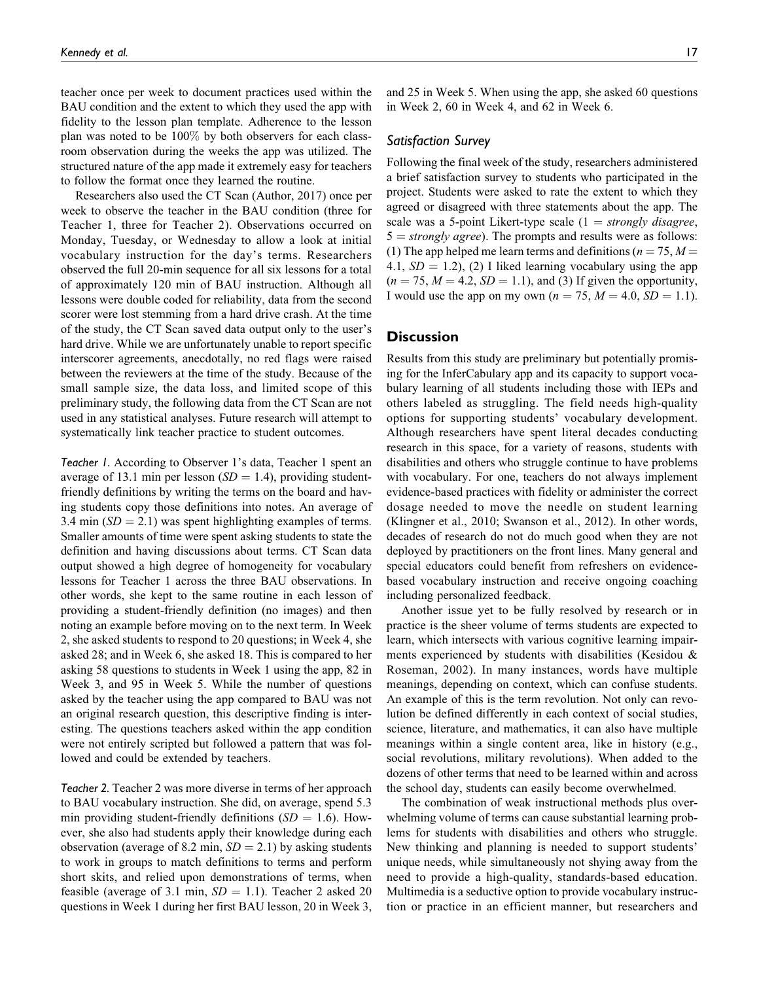teacher once per week to document practices used within the BAU condition and the extent to which they used the app with fidelity to the lesson plan template. Adherence to the lesson plan was noted to be 100% by both observers for each classroom observation during the weeks the app was utilized. The structured nature of the app made it extremely easy for teachers to follow the format once they learned the routine.

Researchers also used the CT Scan (Author, 2017) once per week to observe the teacher in the BAU condition (three for Teacher 1, three for Teacher 2). Observations occurred on Monday, Tuesday, or Wednesday to allow a look at initial vocabulary instruction for the day's terms. Researchers observed the full 20-min sequence for all six lessons for a total of approximately 120 min of BAU instruction. Although all lessons were double coded for reliability, data from the second scorer were lost stemming from a hard drive crash. At the time of the study, the CT Scan saved data output only to the user's hard drive. While we are unfortunately unable to report specific interscorer agreements, anecdotally, no red flags were raised between the reviewers at the time of the study. Because of the small sample size, the data loss, and limited scope of this preliminary study, the following data from the CT Scan are not used in any statistical analyses. Future research will attempt to systematically link teacher practice to student outcomes.

Teacher 1. According to Observer 1's data, Teacher 1 spent an average of 13.1 min per lesson  $(SD = 1.4)$ , providing studentfriendly definitions by writing the terms on the board and having students copy those definitions into notes. An average of 3.4 min  $(SD = 2.1)$  was spent highlighting examples of terms. Smaller amounts of time were spent asking students to state the definition and having discussions about terms. CT Scan data output showed a high degree of homogeneity for vocabulary lessons for Teacher 1 across the three BAU observations. In other words, she kept to the same routine in each lesson of providing a student-friendly definition (no images) and then noting an example before moving on to the next term. In Week 2, she asked students to respond to 20 questions; in Week 4, she asked 28; and in Week 6, she asked 18. This is compared to her asking 58 questions to students in Week 1 using the app, 82 in Week 3, and 95 in Week 5. While the number of questions asked by the teacher using the app compared to BAU was not an original research question, this descriptive finding is interesting. The questions teachers asked within the app condition were not entirely scripted but followed a pattern that was followed and could be extended by teachers.

Teacher 2. Teacher 2 was more diverse in terms of her approach to BAU vocabulary instruction. She did, on average, spend 5.3 min providing student-friendly definitions  $(SD = 1.6)$ . However, she also had students apply their knowledge during each observation (average of 8.2 min,  $SD = 2.1$ ) by asking students to work in groups to match definitions to terms and perform short skits, and relied upon demonstrations of terms, when feasible (average of 3.1 min,  $SD = 1.1$ ). Teacher 2 asked 20 questions in Week 1 during her first BAU lesson, 20 in Week 3, and 25 in Week 5. When using the app, she asked 60 questions in Week 2, 60 in Week 4, and 62 in Week 6.

#### Satisfaction Survey

Following the final week of the study, researchers administered a brief satisfaction survey to students who participated in the project. Students were asked to rate the extent to which they agreed or disagreed with three statements about the app. The scale was a 5-point Likert-type scale  $(1 = strongly disagree,$  $5 = strongly agree$ ). The prompts and results were as follows: (1) The app helped me learn terms and definitions ( $n = 75$ ,  $M =$ 4.1,  $SD = 1.2$ ), (2) I liked learning vocabulary using the app  $(n = 75, M = 4.2, SD = 1.1)$ , and (3) If given the opportunity, I would use the app on my own ( $n = 75$ ,  $M = 4.0$ ,  $SD = 1.1$ ).

# **Discussion**

Results from this study are preliminary but potentially promising for the InferCabulary app and its capacity to support vocabulary learning of all students including those with IEPs and others labeled as struggling. The field needs high-quality options for supporting students' vocabulary development. Although researchers have spent literal decades conducting research in this space, for a variety of reasons, students with disabilities and others who struggle continue to have problems with vocabulary. For one, teachers do not always implement evidence-based practices with fidelity or administer the correct dosage needed to move the needle on student learning (Klingner et al., 2010; Swanson et al., 2012). In other words, decades of research do not do much good when they are not deployed by practitioners on the front lines. Many general and special educators could benefit from refreshers on evidencebased vocabulary instruction and receive ongoing coaching including personalized feedback.

Another issue yet to be fully resolved by research or in practice is the sheer volume of terms students are expected to learn, which intersects with various cognitive learning impairments experienced by students with disabilities (Kesidou & Roseman, 2002). In many instances, words have multiple meanings, depending on context, which can confuse students. An example of this is the term revolution. Not only can revolution be defined differently in each context of social studies, science, literature, and mathematics, it can also have multiple meanings within a single content area, like in history (e.g., social revolutions, military revolutions). When added to the dozens of other terms that need to be learned within and across the school day, students can easily become overwhelmed.

The combination of weak instructional methods plus overwhelming volume of terms can cause substantial learning problems for students with disabilities and others who struggle. New thinking and planning is needed to support students' unique needs, while simultaneously not shying away from the need to provide a high-quality, standards-based education. Multimedia is a seductive option to provide vocabulary instruction or practice in an efficient manner, but researchers and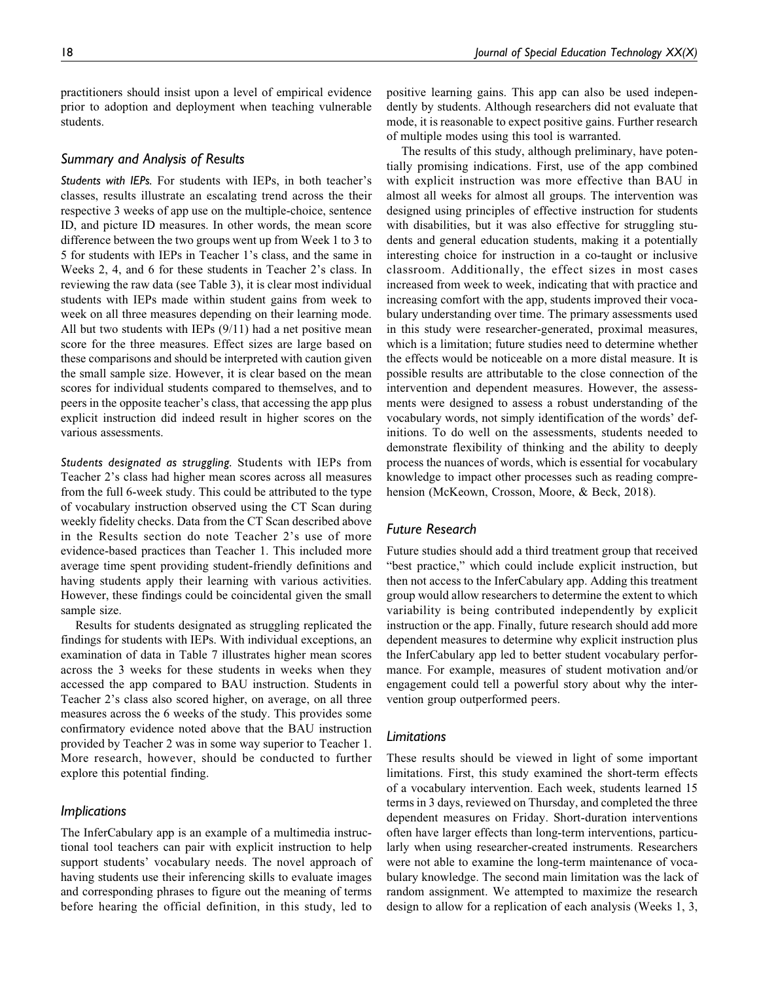practitioners should insist upon a level of empirical evidence prior to adoption and deployment when teaching vulnerable students.

#### Summary and Analysis of Results

Students with IEPs. For students with IEPs, in both teacher's classes, results illustrate an escalating trend across the their respective 3 weeks of app use on the multiple-choice, sentence ID, and picture ID measures. In other words, the mean score difference between the two groups went up from Week 1 to 3 to 5 for students with IEPs in Teacher 1's class, and the same in Weeks 2, 4, and 6 for these students in Teacher 2's class. In reviewing the raw data (see Table 3), it is clear most individual students with IEPs made within student gains from week to week on all three measures depending on their learning mode. All but two students with IEPs (9/11) had a net positive mean score for the three measures. Effect sizes are large based on these comparisons and should be interpreted with caution given the small sample size. However, it is clear based on the mean scores for individual students compared to themselves, and to peers in the opposite teacher's class, that accessing the app plus explicit instruction did indeed result in higher scores on the various assessments.

Students designated as struggling. Students with IEPs from Teacher 2's class had higher mean scores across all measures from the full 6-week study. This could be attributed to the type of vocabulary instruction observed using the CT Scan during weekly fidelity checks. Data from the CT Scan described above in the Results section do note Teacher 2's use of more evidence-based practices than Teacher 1. This included more average time spent providing student-friendly definitions and having students apply their learning with various activities. However, these findings could be coincidental given the small sample size.

Results for students designated as struggling replicated the findings for students with IEPs. With individual exceptions, an examination of data in Table 7 illustrates higher mean scores across the 3 weeks for these students in weeks when they accessed the app compared to BAU instruction. Students in Teacher 2's class also scored higher, on average, on all three measures across the 6 weeks of the study. This provides some confirmatory evidence noted above that the BAU instruction provided by Teacher 2 was in some way superior to Teacher 1. More research, however, should be conducted to further explore this potential finding.

## **Implications**

The InferCabulary app is an example of a multimedia instructional tool teachers can pair with explicit instruction to help support students' vocabulary needs. The novel approach of having students use their inferencing skills to evaluate images and corresponding phrases to figure out the meaning of terms before hearing the official definition, in this study, led to

positive learning gains. This app can also be used independently by students. Although researchers did not evaluate that mode, it is reasonable to expect positive gains. Further research of multiple modes using this tool is warranted.

The results of this study, although preliminary, have potentially promising indications. First, use of the app combined with explicit instruction was more effective than BAU in almost all weeks for almost all groups. The intervention was designed using principles of effective instruction for students with disabilities, but it was also effective for struggling students and general education students, making it a potentially interesting choice for instruction in a co-taught or inclusive classroom. Additionally, the effect sizes in most cases increased from week to week, indicating that with practice and increasing comfort with the app, students improved their vocabulary understanding over time. The primary assessments used in this study were researcher-generated, proximal measures, which is a limitation; future studies need to determine whether the effects would be noticeable on a more distal measure. It is possible results are attributable to the close connection of the intervention and dependent measures. However, the assessments were designed to assess a robust understanding of the vocabulary words, not simply identification of the words' definitions. To do well on the assessments, students needed to demonstrate flexibility of thinking and the ability to deeply process the nuances of words, which is essential for vocabulary knowledge to impact other processes such as reading comprehension (McKeown, Crosson, Moore, & Beck, 2018).

## Future Research

Future studies should add a third treatment group that received "best practice," which could include explicit instruction, but then not access to the InferCabulary app. Adding this treatment group would allow researchers to determine the extent to which variability is being contributed independently by explicit instruction or the app. Finally, future research should add more dependent measures to determine why explicit instruction plus the InferCabulary app led to better student vocabulary performance. For example, measures of student motivation and/or engagement could tell a powerful story about why the intervention group outperformed peers.

#### Limitations

These results should be viewed in light of some important limitations. First, this study examined the short-term effects of a vocabulary intervention. Each week, students learned 15 terms in 3 days, reviewed on Thursday, and completed the three dependent measures on Friday. Short-duration interventions often have larger effects than long-term interventions, particularly when using researcher-created instruments. Researchers were not able to examine the long-term maintenance of vocabulary knowledge. The second main limitation was the lack of random assignment. We attempted to maximize the research design to allow for a replication of each analysis (Weeks 1, 3,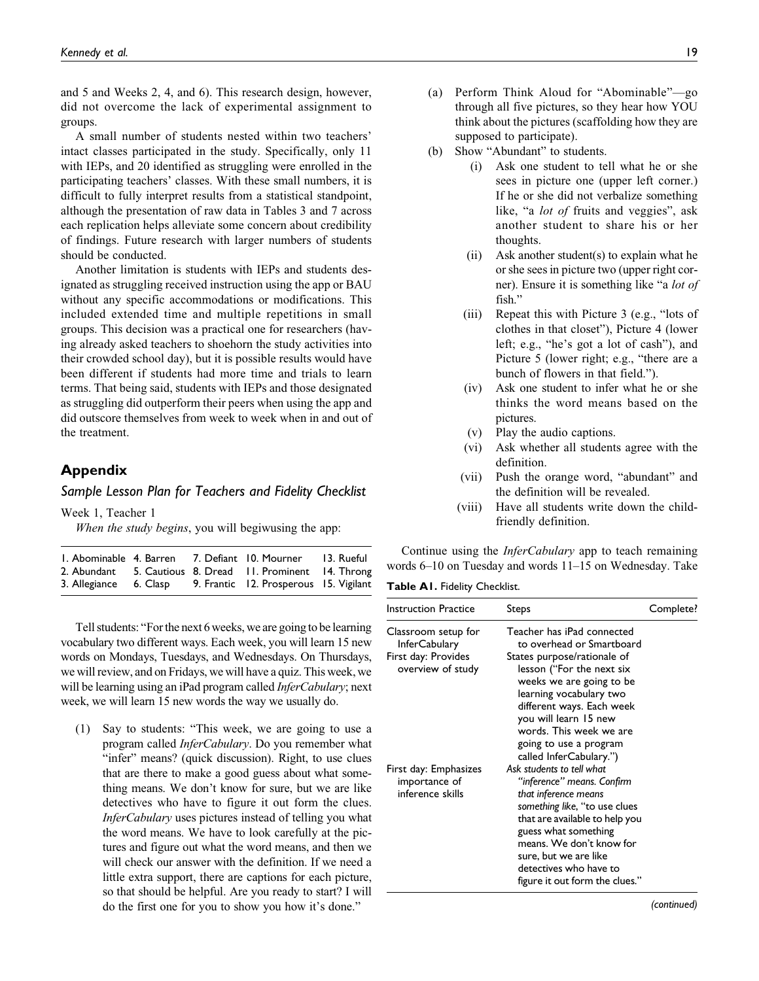and 5 and Weeks 2, 4, and 6). This research design, however, did not overcome the lack of experimental assignment to groups.

A small number of students nested within two teachers' intact classes participated in the study. Specifically, only 11 with IEPs, and 20 identified as struggling were enrolled in the participating teachers' classes. With these small numbers, it is difficult to fully interpret results from a statistical standpoint, although the presentation of raw data in Tables 3 and 7 across each replication helps alleviate some concern about credibility of findings. Future research with larger numbers of students should be conducted.

Another limitation is students with IEPs and students designated as struggling received instruction using the app or BAU without any specific accommodations or modifications. This included extended time and multiple repetitions in small groups. This decision was a practical one for researchers (having already asked teachers to shoehorn the study activities into their crowded school day), but it is possible results would have been different if students had more time and trials to learn terms. That being said, students with IEPs and those designated as struggling did outperform their peers when using the app and did outscore themselves from week to week when in and out of the treatment.

# Appendix

# Sample Lesson Plan for Teachers and Fidelity Checklist

Week 1, Teacher 1 When the study begins, you will begiwusing the app:

|  | 1. Abominable 4. Barren 7. Defiant 10. Mourner 13. Rueful     |  |
|--|---------------------------------------------------------------|--|
|  | 2. Abundant 5. Cautious 8. Dread 11. Prominent 14. Throng     |  |
|  | 3. Allegiance 6. Clasp 9. Frantic 12. Prosperous 15. Vigilant |  |

Tell students: "For the next 6 weeks, we are going to be learning vocabulary two different ways. Each week, you will learn 15 new words on Mondays, Tuesdays, and Wednesdays. On Thursdays, we will review, and on Fridays, we will have a quiz. This week, we will be learning using an iPad program called *InferCabulary*; next week, we will learn 15 new words the way we usually do.

(1) Say to students: "This week, we are going to use a program called InferCabulary. Do you remember what "infer" means? (quick discussion). Right, to use clues that are there to make a good guess about what something means. We don't know for sure, but we are like detectives who have to figure it out form the clues. InferCabulary uses pictures instead of telling you what the word means. We have to look carefully at the pictures and figure out what the word means, and then we will check our answer with the definition. If we need a little extra support, there are captions for each picture, so that should be helpful. Are you ready to start? I will do the first one for you to show you how it's done."

- (a) Perform Think Aloud for "Abominable"—go through all five pictures, so they hear how YOU think about the pictures (scaffolding how they are supposed to participate).
- (b) Show "Abundant" to students.
	- (i) Ask one student to tell what he or she sees in picture one (upper left corner.) If he or she did not verbalize something like, "a lot of fruits and veggies", ask another student to share his or her thoughts.
	- (ii) Ask another student(s) to explain what he or she sees in picture two (upper right corner). Ensure it is something like "a lot of fish."
	- (iii) Repeat this with Picture 3 (e.g., "lots of clothes in that closet"), Picture 4 (lower left; e.g., "he's got a lot of cash"), and Picture 5 (lower right; e.g., "there are a bunch of flowers in that field.").
	- (iv) Ask one student to infer what he or she thinks the word means based on the pictures.
	- (v) Play the audio captions.
	- (vi) Ask whether all students agree with the definition.
	- (vii) Push the orange word, "abundant" and the definition will be revealed.
	- (viii) Have all students write down the childfriendly definition.

Continue using the *InferCabulary* app to teach remaining words 6–10 on Tuesday and words 11–15 on Wednesday. Take

Table A1. Fidelity Checklist.

| <b>Instruction Practice</b>                                                             | <b>Steps</b>                                                                                                                                                                                                                                                                                                     | Complete? |
|-----------------------------------------------------------------------------------------|------------------------------------------------------------------------------------------------------------------------------------------------------------------------------------------------------------------------------------------------------------------------------------------------------------------|-----------|
| Classroom setup for<br><b>InferCabulary</b><br>First day: Provides<br>overview of study | Teacher has iPad connected<br>to overhead or Smartboard<br>States purpose/rationale of<br>lesson ("For the next six<br>weeks we are going to be<br>learning vocabulary two<br>different ways. Each week<br>you will learn 15 new<br>words. This week we are<br>going to use a program<br>called InferCabulary.") |           |
| First day: Emphasizes<br>importance of<br>inference skills                              | Ask students to tell what<br>"inference" means. Confirm<br>that inference means<br>something like, "to use clues<br>that are available to help you<br>guess what something<br>means. We don't know for<br>sure, but we are like<br>detectives who have to<br>figure it out form the clues."                      |           |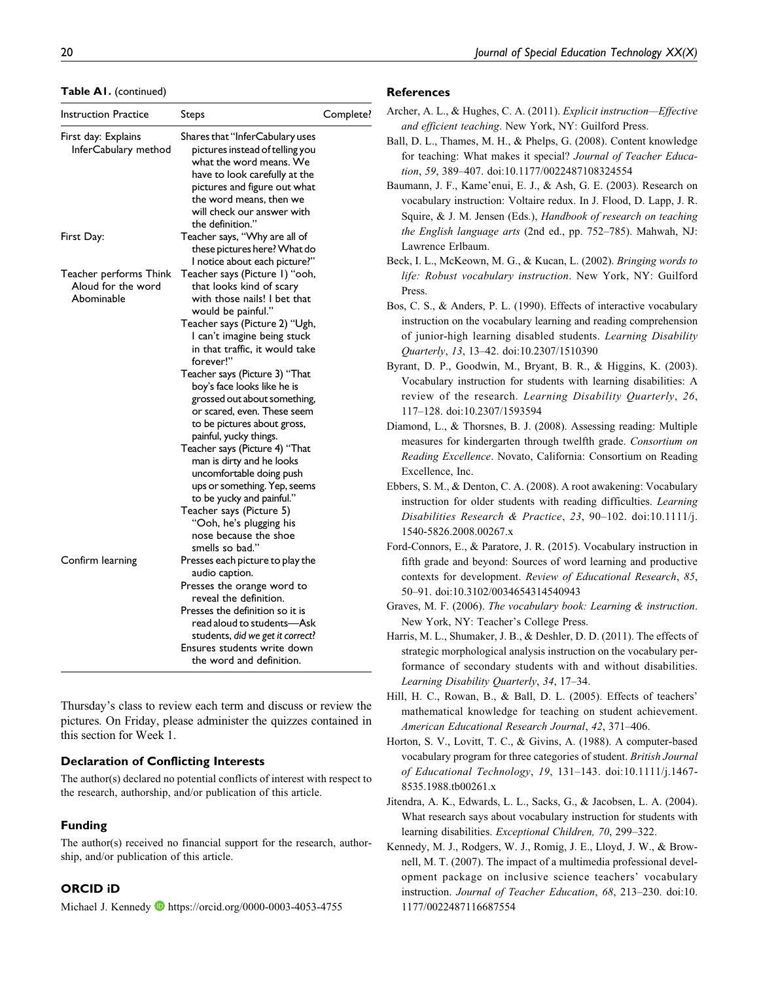| Table AI. (continued) |  |
|-----------------------|--|
|-----------------------|--|

| Instruction Practice                                       | Steps                                                                                                                                                                                                                                       | Complete? |
|------------------------------------------------------------|---------------------------------------------------------------------------------------------------------------------------------------------------------------------------------------------------------------------------------------------|-----------|
| First day: Explains<br>InferCabulary method                | Shares that "InferCabulary uses<br>pictures instead of telling you<br>what the word means. We<br>have to look carefully at the<br>pictures and figure out what<br>the word means, then we<br>will check our answer with<br>the definition." |           |
| First Day:                                                 | Teacher says, "Why are all of<br>these pictures here? What do<br>I notice about each picture?"                                                                                                                                              |           |
| Teacher performs Think<br>Aloud for the word<br>Abominable | Teacher says (Picture I) "ooh,<br>that looks kind of scary<br>with those nails! I bet that<br>would be painful."                                                                                                                            |           |
|                                                            | Teacher says (Picture 2) "Ugh,<br>I can't imagine being stuck<br>in that traffic, it would take<br>forever!"                                                                                                                                |           |
|                                                            | Teacher says (Picture 3) "That<br>boy's face looks like he is<br>grossed out about something,<br>or scared, even. These seem<br>to be pictures about gross,<br>painful, yucky things.                                                       |           |
|                                                            | Teacher says (Picture 4) "That<br>man is dirty and he looks<br>uncomfortable doing push<br>ups or something. Yep, seems<br>to be yucky and painful."                                                                                        |           |
|                                                            | Teacher says (Picture 5)<br>"Ooh, he's plugging his<br>nose because the shoe<br>smells so bad."                                                                                                                                             |           |
| Confirm learning                                           | Presses each picture to play the<br>audio caption.<br>Presses the orange word to<br>reveal the definition.                                                                                                                                  |           |
|                                                            | Presses the definition so it is<br>read aloud to students-Ask<br>students, did we get it correct?<br>Ensures students write down<br>the word and definition.                                                                                |           |

Thursday's class to review each term and discuss or review the pictures. On Friday, please administer the quizzes contained in this section for Week 1.

#### Declaration of Conflicting Interests

The author(s) declared no potential conflicts of interest with respect to the research, authorship, and/or publication of this article.

#### Funding

The author(s) received no financial support for the research, authorship, and/or publication of this article.

## ORCID iD

Michael J. Kennedy **D** <https://orcid.org/0000-0003-4053-4755>

- Archer, A. L., & Hughes, C. A. (2011). Explicit instruction—Effective and efficient teaching. New York, NY: Guilford Press.
- Ball, D. L., Thames, M. H., & Phelps, G. (2008). Content knowledge for teaching: What makes it special? Journal of Teacher Education, 59, 389–407. doi:10.1177/0022487108324554
- Baumann, J. F., Kame'enui, E. J., & Ash, G. E. (2003). Research on vocabulary instruction: Voltaire redux. In J. Flood, D. Lapp, J. R. Squire, & J. M. Jensen (Eds.), Handbook of research on teaching the English language arts (2nd ed., pp. 752–785). Mahwah, NJ: Lawrence Erlbaum.
- Beck, I. L., McKeown, M. G., & Kucan, L. (2002). Bringing words to life: Robust vocabulary instruction. New York, NY: Guilford Press.
- Bos, C. S., & Anders, P. L. (1990). Effects of interactive vocabulary instruction on the vocabulary learning and reading comprehension of junior-high learning disabled students. Learning Disability Quarterly, 13, 13–42. doi:10.2307/1510390
- Byrant, D. P., Goodwin, M., Bryant, B. R., & Higgins, K. (2003). Vocabulary instruction for students with learning disabilities: A review of the research. Learning Disability Quarterly, 26, 117–128. doi:10.2307/1593594
- Diamond, L., & Thorsnes, B. J. (2008). Assessing reading: Multiple measures for kindergarten through twelfth grade. Consortium on Reading Excellence. Novato, California: Consortium on Reading Excellence, Inc.
- Ebbers, S. M., & Denton, C. A. (2008). A root awakening: Vocabulary instruction for older students with reading difficulties. Learning Disabilities Research & Practice, 23, 90–102. doi:10.1111/j. 1540-5826.2008.00267.x
- Ford-Connors, E., & Paratore, J. R. (2015). Vocabulary instruction in fifth grade and beyond: Sources of word learning and productive contexts for development. Review of Educational Research, 85, 50–91. doi:10.3102/0034654314540943
- Graves, M. F. (2006). The vocabulary book: Learning & instruction. New York, NY: Teacher's College Press.
- Harris, M. L., Shumaker, J. B., & Deshler, D. D. (2011). The effects of strategic morphological analysis instruction on the vocabulary performance of secondary students with and without disabilities. Learning Disability Quarterly, 34, 17–34.

Hill, H. C., Rowan, B., & Ball, D. L. (2005). Effects of teachers' mathematical knowledge for teaching on student achievement. American Educational Research Journal, 42, 371–406.

- Horton, S. V., Lovitt, T. C., & Givins, A. (1988). A computer-based vocabulary program for three categories of student. British Journal of Educational Technology, 19, 131–143. doi:10.1111/j.1467- 8535.1988.tb00261.x
- Jitendra, A. K., Edwards, L. L., Sacks, G., & Jacobsen, L. A. (2004). What research says about vocabulary instruction for students with learning disabilities. Exceptional Children, 70, 299–322.
- Kennedy, M. J., Rodgers, W. J., Romig, J. E., Lloyd, J. W., & Brownell, M. T. (2007). The impact of a multimedia professional development package on inclusive science teachers' vocabulary instruction. Journal of Teacher Education, 68, 213–230. doi:10. 1177/0022487116687554